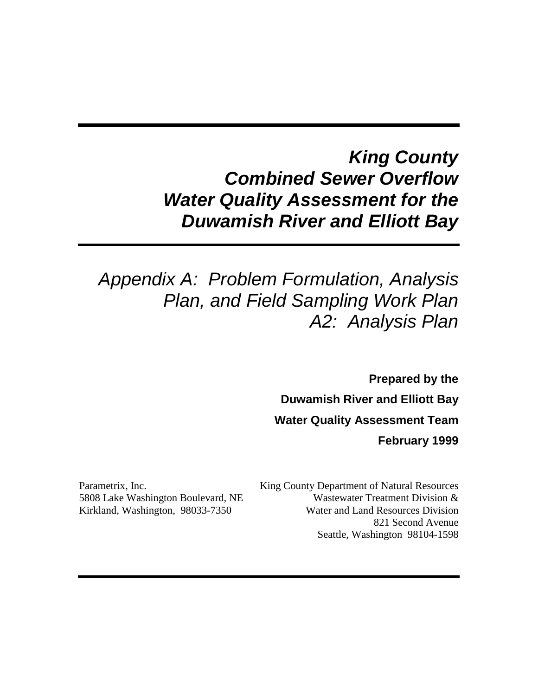# *King County Combined Sewer Overflow Water Quality Assessment for the Duwamish River and Elliott Bay*

# *Appendix A: Problem Formulation, Analysis Plan, and Field Sampling Work Plan A2: Analysis Plan*

**Prepared by the Duwamish River and Elliott Bay Water Quality Assessment Team February 1999**

Parametrix, Inc. 5808 Lake Washington Boulevard, NE Kirkland, Washington, 98033-7350

King County Department of Natural Resources Wastewater Treatment Division & Water and Land Resources Division 821 Second Avenue Seattle, Washington 98104-1598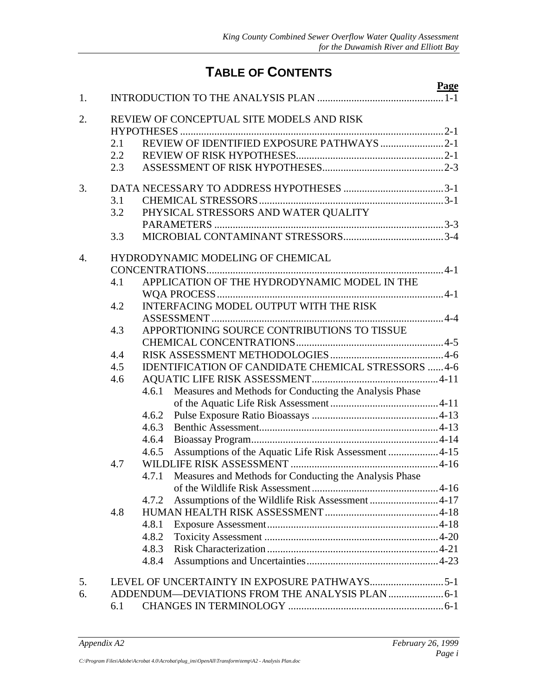# **TABLE OF CONTENTS**

|    |     |                                                                 | Page |
|----|-----|-----------------------------------------------------------------|------|
| 1. |     |                                                                 |      |
| 2. |     | REVIEW OF CONCEPTUAL SITE MODELS AND RISK                       |      |
|    | 2.1 | REVIEW OF IDENTIFIED EXPOSURE PATHWAYS 2-1                      |      |
|    | 2.2 |                                                                 |      |
|    | 2.3 |                                                                 |      |
| 3. |     |                                                                 |      |
|    | 3.1 |                                                                 |      |
|    | 3.2 | PHYSICAL STRESSORS AND WATER QUALITY                            |      |
|    |     |                                                                 |      |
|    | 3.3 |                                                                 |      |
| 4. |     | HYDRODYNAMIC MODELING OF CHEMICAL                               |      |
|    |     |                                                                 |      |
|    | 4.1 | APPLICATION OF THE HYDRODYNAMIC MODEL IN THE                    |      |
|    | 4.2 | <b>INTERFACING MODEL OUTPUT WITH THE RISK</b>                   |      |
|    |     |                                                                 |      |
|    | 4.3 | APPORTIONING SOURCE CONTRIBUTIONS TO TISSUE                     |      |
|    |     |                                                                 |      |
|    | 4.4 |                                                                 |      |
|    | 4.5 | IDENTIFICATION OF CANDIDATE CHEMICAL STRESSORS  4-6             |      |
|    | 4.6 |                                                                 |      |
|    |     | Measures and Methods for Conducting the Analysis Phase<br>4.6.1 |      |
|    |     |                                                                 |      |
|    |     | 4.6.2                                                           |      |
|    |     | 4.6.3                                                           |      |
|    |     | 4.6.4                                                           |      |
|    |     | 4.6.5                                                           |      |
|    | 4.7 |                                                                 |      |
|    |     | 4.7.1 Measures and Methods for Conducting the Analysis Phase    |      |
|    |     |                                                                 |      |
|    |     | Assumptions of the Wildlife Risk Assessment 4-17<br>4.7.2       |      |
|    | 4.8 |                                                                 |      |
|    |     | 4.8.1                                                           |      |
|    |     | 4.8.2                                                           |      |
|    |     | 4.8.3                                                           |      |
|    |     | 4.8.4                                                           |      |
| 5. |     |                                                                 |      |
| 6. |     | ADDENDUM—DEVIATIONS FROM THE ANALYSIS PLAN  6-1                 |      |
|    | 6.1 |                                                                 |      |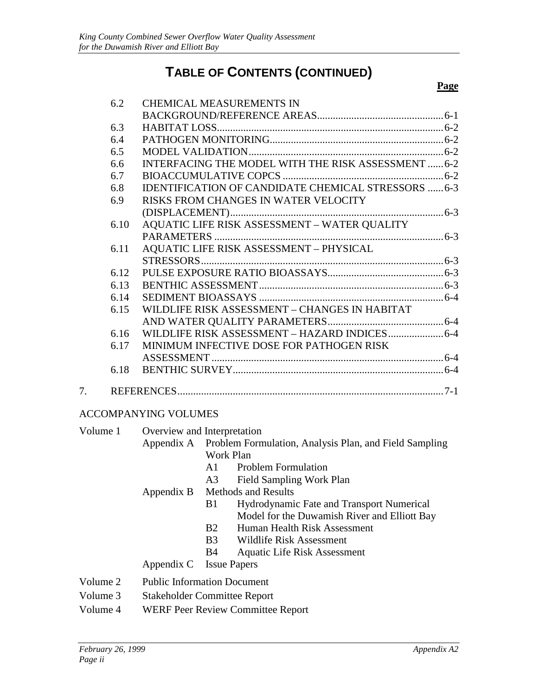# **TABLE OF CONTENTS (CONTINUED)**

#### **Page**

|    | 6.2  | <b>CHEMICAL MEASUREMENTS IN</b>                            |  |
|----|------|------------------------------------------------------------|--|
|    |      |                                                            |  |
|    | 6.3  |                                                            |  |
|    | 6.4  |                                                            |  |
|    | 6.5  |                                                            |  |
|    | 6.6  | INTERFACING THE MODEL WITH THE RISK ASSESSMENT  6-2        |  |
|    | 6.7  |                                                            |  |
|    | 6.8  | <b>IDENTIFICATION OF CANDIDATE CHEMICAL STRESSORS  6-3</b> |  |
|    | 6.9  | RISKS FROM CHANGES IN WATER VELOCITY                       |  |
|    |      |                                                            |  |
|    | 6.10 | AQUATIC LIFE RISK ASSESSMENT - WATER QUALITY               |  |
|    |      |                                                            |  |
|    | 6.11 | <b>AQUATIC LIFE RISK ASSESSMENT - PHYSICAL</b>             |  |
|    |      |                                                            |  |
|    | 6.12 |                                                            |  |
|    | 6.13 |                                                            |  |
|    | 6.14 |                                                            |  |
|    | 6.15 | WILDLIFE RISK ASSESSMENT - CHANGES IN HABITAT              |  |
|    |      |                                                            |  |
|    | 6.16 | WILDLIFE RISK ASSESSMENT - HAZARD INDICES 6-4              |  |
|    | 6.17 | MINIMUM INFECTIVE DOSE FOR PATHOGEN RISK                   |  |
|    |      |                                                            |  |
|    | 6.18 |                                                            |  |
| 7. |      |                                                            |  |
|    |      |                                                            |  |

#### ACCOMPANYING VOLUMES

| Volume 1 | Overview and Interpretation              |                                                                   |  |
|----------|------------------------------------------|-------------------------------------------------------------------|--|
|          |                                          | Appendix A Problem Formulation, Analysis Plan, and Field Sampling |  |
|          |                                          | Work Plan                                                         |  |
|          |                                          | <b>Problem Formulation</b><br>A1.                                 |  |
|          |                                          | A3 Field Sampling Work Plan                                       |  |
|          |                                          | Appendix B Methods and Results                                    |  |
|          |                                          | Hydrodynamic Fate and Transport Numerical<br>B1                   |  |
|          |                                          | Model for the Duwamish River and Elliott Bay                      |  |
|          |                                          | <b>B2</b><br>Human Health Risk Assessment                         |  |
|          |                                          | B3<br>Wildlife Risk Assessment                                    |  |
|          |                                          | <b>B</b> 4<br><b>Aquatic Life Risk Assessment</b>                 |  |
|          |                                          | Appendix C Issue Papers                                           |  |
| Volume 2 | <b>Public Information Document</b>       |                                                                   |  |
| Volume 3 | <b>Stakeholder Committee Report</b>      |                                                                   |  |
| Volume 4 | <b>WERF Peer Review Committee Report</b> |                                                                   |  |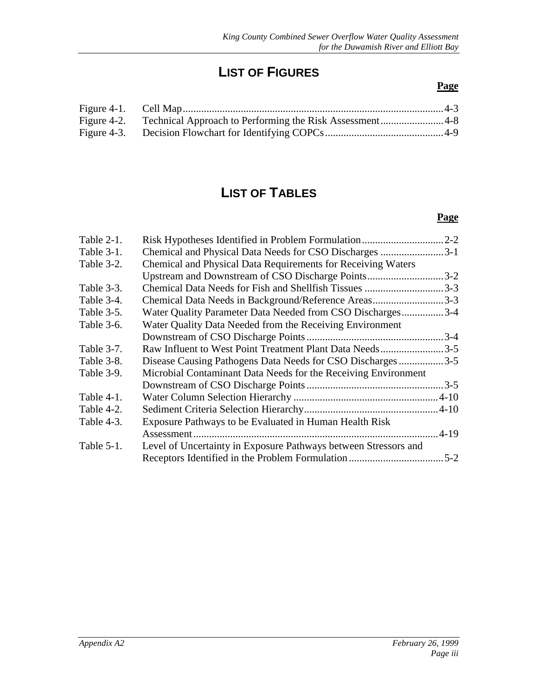# **LIST OF FIGURES**

#### **Page**

# **LIST OF TABLES**

#### **Page**

| Table $2-1$ . | Risk Hypotheses Identified in Problem Formulation               | $2 - 2$  |
|---------------|-----------------------------------------------------------------|----------|
| Table 3-1.    | Chemical and Physical Data Needs for CSO Discharges 3-1         |          |
| Table 3-2.    | Chemical and Physical Data Requirements for Receiving Waters    |          |
|               | Upstream and Downstream of CSO Discharge Points                 | $3 - 2$  |
| Table 3-3.    |                                                                 | $3 - 3$  |
| Table 3-4.    | Chemical Data Needs in Background/Reference Areas               | $.3 - 3$ |
| Table 3-5.    | Water Quality Parameter Data Needed from CSO Discharges         | $.3 - 4$ |
| Table 3-6.    | Water Quality Data Needed from the Receiving Environment        |          |
|               |                                                                 |          |
| Table 3-7.    | Raw Influent to West Point Treatment Plant Data Needs3-5        |          |
| Table 3-8.    | Disease Causing Pathogens Data Needs for CSO Discharges 3-5     |          |
| Table 3-9.    | Microbial Contaminant Data Needs for the Receiving Environment  |          |
|               |                                                                 |          |
| Table $4-1$ . |                                                                 |          |
| Table 4-2.    |                                                                 |          |
| Table 4-3.    | Exposure Pathways to be Evaluated in Human Health Risk          |          |
|               | Assessment                                                      | $-4-19$  |
| Table $5-1$ . | Level of Uncertainty in Exposure Pathways between Stressors and |          |
|               |                                                                 | $5 - 2$  |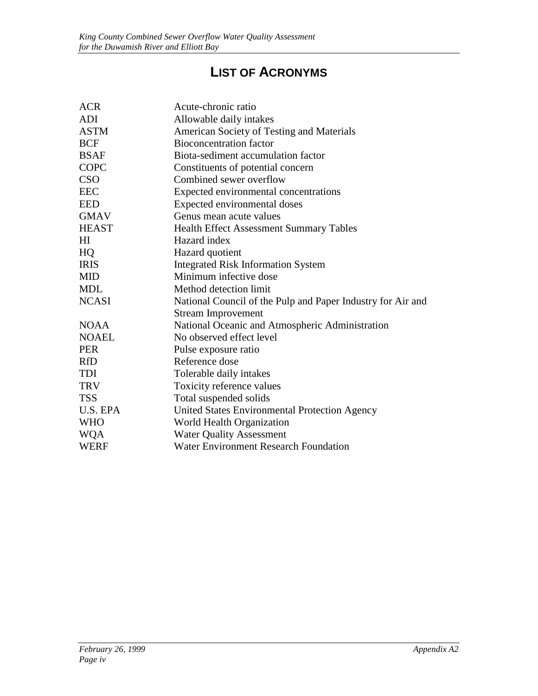# **LIST OF ACRONYMS**

| <b>ACR</b>   | Acute-chronic ratio                                         |
|--------------|-------------------------------------------------------------|
| <b>ADI</b>   | Allowable daily intakes                                     |
| <b>ASTM</b>  | American Society of Testing and Materials                   |
| <b>BCF</b>   | <b>Bioconcentration factor</b>                              |
| <b>BSAF</b>  | Biota-sediment accumulation factor                          |
| COPC         | Constituents of potential concern                           |
| <b>CSO</b>   | Combined sewer overflow                                     |
| <b>EEC</b>   | Expected environmental concentrations                       |
| <b>EED</b>   | Expected environmental doses                                |
| <b>GMAV</b>  | Genus mean acute values                                     |
| <b>HEAST</b> | <b>Health Effect Assessment Summary Tables</b>              |
| HI           | Hazard index                                                |
| HQ           | Hazard quotient                                             |
| <b>IRIS</b>  | <b>Integrated Risk Information System</b>                   |
| <b>MID</b>   | Minimum infective dose                                      |
| <b>MDL</b>   | Method detection limit                                      |
| <b>NCASI</b> | National Council of the Pulp and Paper Industry for Air and |
|              | <b>Stream Improvement</b>                                   |
| <b>NOAA</b>  | National Oceanic and Atmospheric Administration             |
| <b>NOAEL</b> | No observed effect level                                    |
| <b>PER</b>   | Pulse exposure ratio                                        |
| <b>RfD</b>   | Reference dose                                              |
| TDI          | Tolerable daily intakes                                     |
| <b>TRV</b>   | Toxicity reference values                                   |
| <b>TSS</b>   | Total suspended solids                                      |
| U.S. EPA     | United States Environmental Protection Agency               |
| <b>WHO</b>   | World Health Organization                                   |
| <b>WQA</b>   | <b>Water Quality Assessment</b>                             |
| <b>WERF</b>  | <b>Water Environment Research Foundation</b>                |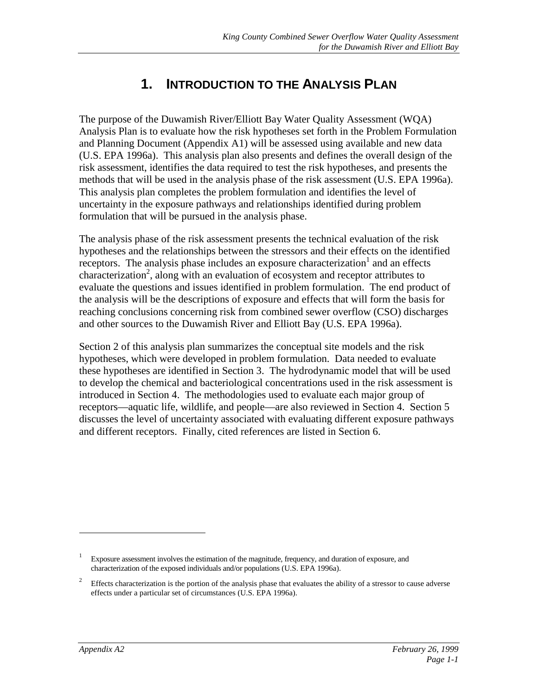# **1. INTRODUCTION TO THE ANALYSIS PLAN**

<span id="page-5-0"></span>The purpose of the Duwamish River/Elliott Bay Water Quality Assessment (WQA) Analysis Plan is to evaluate how the risk hypotheses set forth in the Problem Formulation and Planning Document (Appendix A1) will be assessed using available and new data (U.S. EPA 1996a). This analysis plan also presents and defines the overall design of the risk assessment, identifies the data required to test the risk hypotheses, and presents the methods that will be used in the analysis phase of the risk assessment (U.S. EPA 1996a). This analysis plan completes the problem formulation and identifies the level of uncertainty in the exposure pathways and relationships identified during problem formulation that will be pursued in the analysis phase.

The analysis phase of the risk assessment presents the technical evaluation of the risk hypotheses and the relationships between the stressors and their effects on the identified receptors. The analysis phase includes an exposure characterization<sup>1</sup> and an effects  $\frac{1}{2}$  characterization<sup>2</sup>, along with an evaluation of ecosystem and receptor attributes to evaluate the questions and issues identified in problem formulation. The end product of the analysis will be the descriptions of exposure and effects that will form the basis for reaching conclusions concerning risk from combined sewer overflow (CSO) discharges and other sources to the Duwamish River and Elliott Bay (U.S. EPA 1996a).

Section 2 of this analysis plan summarizes the conceptual site models and the risk hypotheses, which were developed in problem formulation. Data needed to evaluate these hypotheses are identified in Section 3. The hydrodynamic model that will be used to develop the chemical and bacteriological concentrations used in the risk assessment is introduced in Section 4. The methodologies used to evaluate each major group of receptors—aquatic life, wildlife, and people—are also reviewed in Section 4. Section 5 discusses the level of uncertainty associated with evaluating different exposure pathways and different receptors. Finally, cited references are listed in Section 6.

<sup>&</sup>lt;sup>1</sup> Exposure assessment involves the estimation of the magnitude, frequency, and duration of exposure, and characterization of the exposed individuals and/or populations (U.S. EPA 1996a).

<sup>&</sup>lt;sup>2</sup> Effects characterization is the portion of the analysis phase that evaluates the ability of a stressor to cause adverse effects under a particular set of circumstances (U.S. EPA 1996a).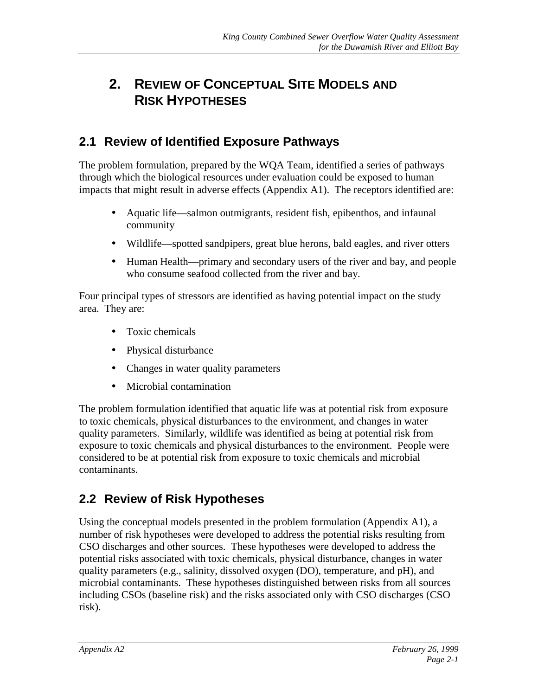# <span id="page-6-0"></span>**2. REVIEW OF CONCEPTUAL SITE MODELS AND RISK HYPOTHESES**

### **2.1 Review of Identified Exposure Pathways**

The problem formulation, prepared by the WQA Team, identified a series of pathways through which the biological resources under evaluation could be exposed to human impacts that might result in adverse effects (Appendix A1). The receptors identified are:

- Aquatic life—salmon outmigrants, resident fish, epibenthos, and infaunal community
- Wildlife—spotted sandpipers, great blue herons, bald eagles, and river otters
- Human Health—primary and secondary users of the river and bay, and people who consume seafood collected from the river and bay.

Four principal types of stressors are identified as having potential impact on the study area. They are:

- Toxic chemicals
- Physical disturbance
- Changes in water quality parameters
- Microbial contamination

The problem formulation identified that aquatic life was at potential risk from exposure to toxic chemicals, physical disturbances to the environment, and changes in water quality parameters. Similarly, wildlife was identified as being at potential risk from exposure to toxic chemicals and physical disturbances to the environment. People were considered to be at potential risk from exposure to toxic chemicals and microbial contaminants.

### **2.2 Review of Risk Hypotheses**

Using the conceptual models presented in the problem formulation (Appendix A1), a number of risk hypotheses were developed to address the potential risks resulting from CSO discharges and other sources. These hypotheses were developed to address the potential risks associated with toxic chemicals, physical disturbance, changes in water quality parameters (e.g., salinity, dissolved oxygen (DO), temperature, and pH), and microbial contaminants. These hypotheses distinguished between risks from all sources including CSOs (baseline risk) and the risks associated only with CSO discharges (CSO risk).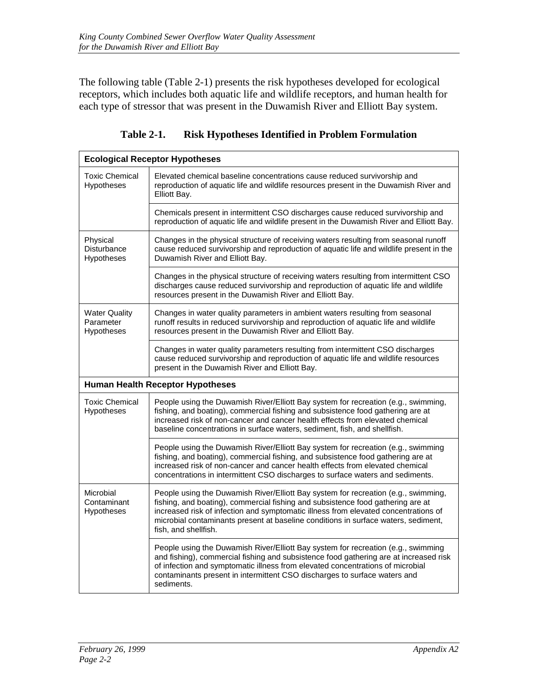<span id="page-7-0"></span>The following table (Table 2-1) presents the risk hypotheses developed for ecological receptors, which includes both aquatic life and wildlife receptors, and human health for each type of stressor that was present in the Duwamish River and Elliott Bay system.

| <b>Ecological Receptor Hypotheses</b>           |                                                                                                                                                                                                                                                                                                                                                                            |  |  |
|-------------------------------------------------|----------------------------------------------------------------------------------------------------------------------------------------------------------------------------------------------------------------------------------------------------------------------------------------------------------------------------------------------------------------------------|--|--|
| <b>Toxic Chemical</b><br><b>Hypotheses</b>      | Elevated chemical baseline concentrations cause reduced survivorship and<br>reproduction of aquatic life and wildlife resources present in the Duwamish River and<br>Elliott Bay.                                                                                                                                                                                          |  |  |
|                                                 | Chemicals present in intermittent CSO discharges cause reduced survivorship and<br>reproduction of aquatic life and wildlife present in the Duwamish River and Elliott Bay.                                                                                                                                                                                                |  |  |
| Physical<br>Disturbance<br>Hypotheses           | Changes in the physical structure of receiving waters resulting from seasonal runoff<br>cause reduced survivorship and reproduction of aquatic life and wildlife present in the<br>Duwamish River and Elliott Bay.                                                                                                                                                         |  |  |
|                                                 | Changes in the physical structure of receiving waters resulting from intermittent CSO<br>discharges cause reduced survivorship and reproduction of aquatic life and wildlife<br>resources present in the Duwamish River and Elliott Bay.                                                                                                                                   |  |  |
| <b>Water Quality</b><br>Parameter<br>Hypotheses | Changes in water quality parameters in ambient waters resulting from seasonal<br>runoff results in reduced survivorship and reproduction of aquatic life and wildlife<br>resources present in the Duwamish River and Elliott Bay.                                                                                                                                          |  |  |
|                                                 | Changes in water quality parameters resulting from intermittent CSO discharges<br>cause reduced survivorship and reproduction of aquatic life and wildlife resources<br>present in the Duwamish River and Elliott Bay.                                                                                                                                                     |  |  |
|                                                 | <b>Human Health Receptor Hypotheses</b>                                                                                                                                                                                                                                                                                                                                    |  |  |
| <b>Toxic Chemical</b><br>Hypotheses             | People using the Duwamish River/Elliott Bay system for recreation (e.g., swimming,<br>fishing, and boating), commercial fishing and subsistence food gathering are at<br>increased risk of non-cancer and cancer health effects from elevated chemical<br>baseline concentrations in surface waters, sediment, fish, and shellfish.                                        |  |  |
|                                                 | People using the Duwamish River/Elliott Bay system for recreation (e.g., swimming<br>fishing, and boating), commercial fishing, and subsistence food gathering are at<br>increased risk of non-cancer and cancer health effects from elevated chemical<br>concentrations in intermittent CSO discharges to surface waters and sediments.                                   |  |  |
| Microbial<br>Contaminant<br><b>Hypotheses</b>   | People using the Duwamish River/Elliott Bay system for recreation (e.g., swimming,<br>fishing, and boating), commercial fishing and subsistence food gathering are at<br>increased risk of infection and symptomatic illness from elevated concentrations of<br>microbial contaminants present at baseline conditions in surface waters, sediment,<br>fish, and shellfish. |  |  |
|                                                 | People using the Duwamish River/Elliott Bay system for recreation (e.g., swimming<br>and fishing), commercial fishing and subsistence food gathering are at increased risk<br>of infection and symptomatic illness from elevated concentrations of microbial<br>contaminants present in intermittent CSO discharges to surface waters and<br>sediments.                    |  |  |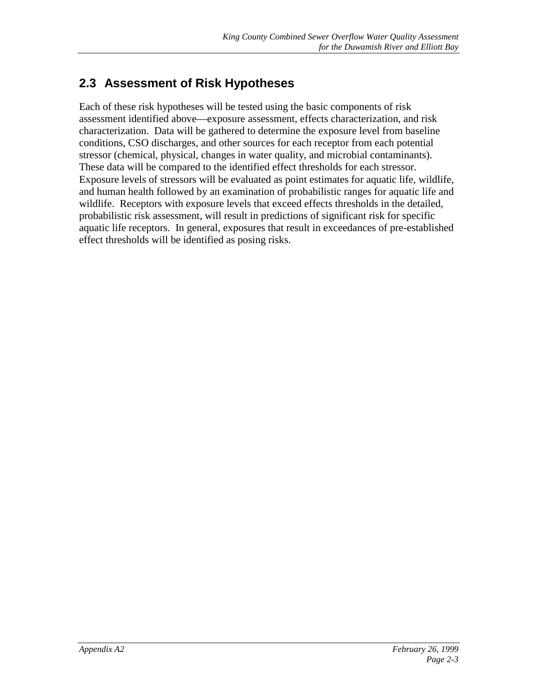### <span id="page-8-0"></span>**2.3 Assessment of Risk Hypotheses**

Each of these risk hypotheses will be tested using the basic components of risk assessment identified above—exposure assessment, effects characterization, and risk characterization. Data will be gathered to determine the exposure level from baseline conditions, CSO discharges, and other sources for each receptor from each potential stressor (chemical, physical, changes in water quality, and microbial contaminants). These data will be compared to the identified effect thresholds for each stressor. Exposure levels of stressors will be evaluated as point estimates for aquatic life, wildlife, and human health followed by an examination of probabilistic ranges for aquatic life and wildlife. Receptors with exposure levels that exceed effects thresholds in the detailed, probabilistic risk assessment, will result in predictions of significant risk for specific aquatic life receptors. In general, exposures that result in exceedances of pre-established effect thresholds will be identified as posing risks.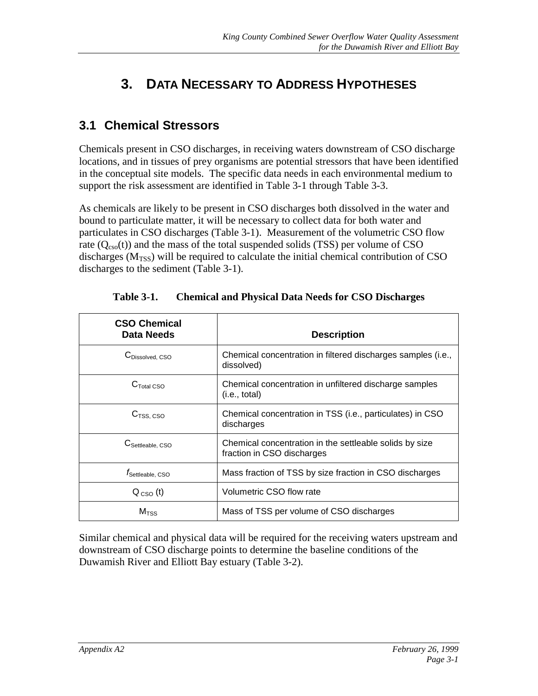# <span id="page-9-0"></span>**3. DATA NECESSARY TO ADDRESS HYPOTHESES**

#### **3.1 Chemical Stressors**

Chemicals present in CSO discharges, in receiving waters downstream of CSO discharge locations, and in tissues of prey organisms are potential stressors that have been identified in the conceptual site models. The specific data needs in each environmental medium to support the risk assessment are identified in Table 3-1 through Table 3-3.

As chemicals are likely to be present in CSO discharges both dissolved in the water and bound to particulate matter, it will be necessary to collect data for both water and particulates in CSO discharges (Table 3-1). Measurement of the volumetric CSO flow rate  $(Q_{\text{cso}}(t))$  and the mass of the total suspended solids (TSS) per volume of CSO discharges ( $M<sub>TSS</sub>$ ) will be required to calculate the initial chemical contribution of CSO discharges to the sediment (Table 3-1).

| <b>CSO Chemical</b><br><b>Data Needs</b> | <b>Description</b>                                                                    |
|------------------------------------------|---------------------------------------------------------------------------------------|
| C <sub>Dissolved</sub> CSO               | Chemical concentration in filtered discharges samples (i.e.,<br>dissolved)            |
| $CTotal$ CSO                             | Chemical concentration in unfiltered discharge samples<br>(i.e., total)               |
| C <sub>TSS, CSO</sub>                    | Chemical concentration in TSS (i.e., particulates) in CSO<br>discharges               |
| $C_{\rm Settleable.}$ CSO                | Chemical concentration in the settleable solids by size<br>fraction in CSO discharges |
| <i>I</i> Settleable, CSO                 | Mass fraction of TSS by size fraction in CSO discharges                               |
| $Q_{\text{CSO}}(t)$                      | Volumetric CSO flow rate                                                              |
| $M_{TSS}$                                | Mass of TSS per volume of CSO discharges                                              |

**Table 3-1. Chemical and Physical Data Needs for CSO Discharges**

Similar chemical and physical data will be required for the receiving waters upstream and downstream of CSO discharge points to determine the baseline conditions of the Duwamish River and Elliott Bay estuary (Table 3-2).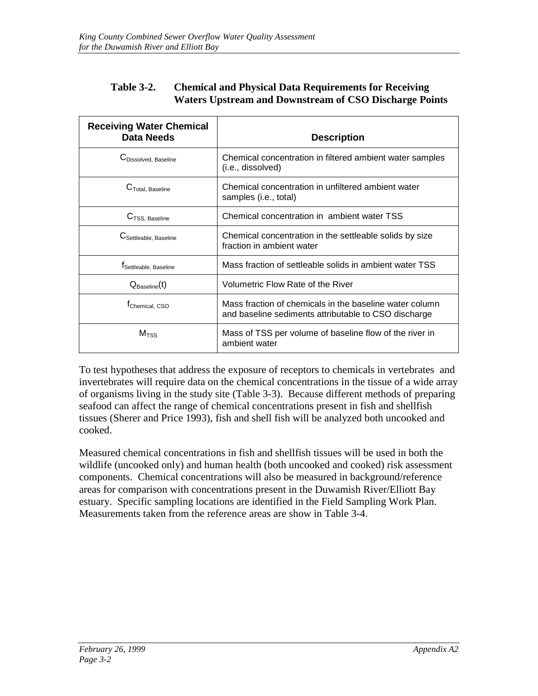#### <span id="page-10-0"></span>**Table 3-2. Chemical and Physical Data Requirements for Receiving Waters Upstream and Downstream of CSO Discharge Points**

| <b>Receiving Water Chemical</b><br>Data Needs | <b>Description</b>                                                                                              |
|-----------------------------------------------|-----------------------------------------------------------------------------------------------------------------|
| <b>C</b> Dissolved. Baseline                  | Chemical concentration in filtered ambient water samples<br>(i.e., dissolved)                                   |
| C <sub>Total</sub> , Baseline                 | Chemical concentration in unfiltered ambient water<br>samples (i.e., total)                                     |
| C <sub>TSS, Baseline</sub>                    | Chemical concentration in ambient water TSS                                                                     |
| C Settleable, Baseline                        | Chemical concentration in the settleable solids by size<br>fraction in ambient water                            |
| I Settleable, Baseline                        | Mass fraction of settleable solids in ambient water TSS                                                         |
| $Q_{\text{Baseline}}(t)$                      | Volumetric Flow Rate of the River                                                                               |
| <sup>T</sup> Chemical, CSO                    | Mass fraction of chemicals in the baseline water column<br>and baseline sediments attributable to CSO discharge |
| $M_{TSS}$                                     | Mass of TSS per volume of baseline flow of the river in<br>ambient water                                        |

To test hypotheses that address the exposure of receptors to chemicals in vertebrates and invertebrates will require data on the chemical concentrations in the tissue of a wide array of organisms living in the study site (Table 3-3). Because different methods of preparing seafood can affect the range of chemical concentrations present in fish and shellfish tissues (Sherer and Price 1993), fish and shell fish will be analyzed both uncooked and cooked.

Measured chemical concentrations in fish and shellfish tissues will be used in both the wildlife (uncooked only) and human health (both uncooked and cooked) risk assessment components. Chemical concentrations will also be measured in background/reference areas for comparison with concentrations present in the Duwamish River/Elliott Bay estuary. Specific sampling locations are identified in the Field Sampling Work Plan. Measurements taken from the reference areas are show in Table 3-4.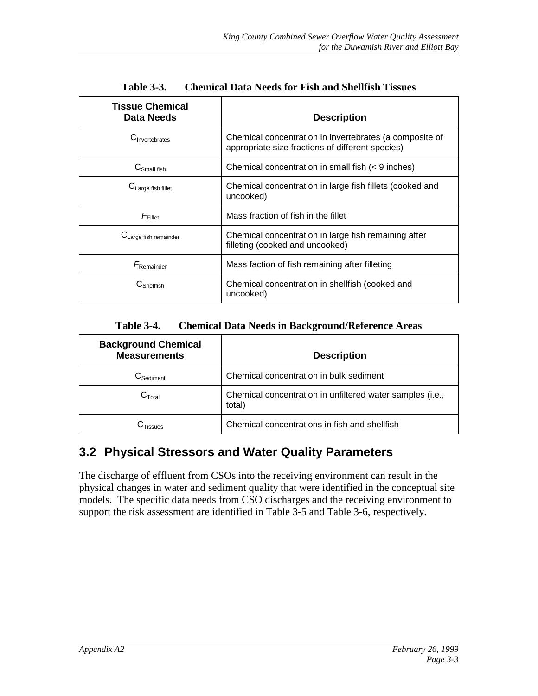<span id="page-11-0"></span>

| <b>Tissue Chemical</b><br><b>Data Needs</b> | <b>Description</b>                                                                                          |
|---------------------------------------------|-------------------------------------------------------------------------------------------------------------|
| $C_{\text{Invertahrates}}$                  | Chemical concentration in invertebrates (a composite of<br>appropriate size fractions of different species) |
| $C_{Small fish}$                            | Chemical concentration in small fish (< 9 inches)                                                           |
| C <sub>Large</sub> fish fillet              | Chemical concentration in large fish fillets (cooked and<br>uncooked)                                       |
| $F_{\text{Fillet}}$                         | Mass fraction of fish in the fillet                                                                         |
| $C_{\text{Large fish remainder}}$           | Chemical concentration in large fish remaining after<br>filleting (cooked and uncooked)                     |
| $F_{\text{Remainder}}$                      | Mass faction of fish remaining after filleting                                                              |
| $\mathsf{C}_{\mathsf{Shellfish}}$           | Chemical concentration in shellfish (cooked and<br>uncooked)                                                |

**Table 3-3. Chemical Data Needs for Fish and Shellfish Tissues**

**Table 3-4. Chemical Data Needs in Background/Reference Areas**

| <b>Background Chemical</b><br><b>Measurements</b> | <b>Description</b>                                                  |
|---------------------------------------------------|---------------------------------------------------------------------|
| $\mathcal{C}_{\mathsf{Sediment}}$                 | Chemical concentration in bulk sediment                             |
| $C_{\text{Total}}$                                | Chemical concentration in unfiltered water samples (i.e.,<br>total) |
| <b>UTissues</b>                                   | Chemical concentrations in fish and shellfish                       |

### **3.2 Physical Stressors and Water Quality Parameters**

The discharge of effluent from CSOs into the receiving environment can result in the physical changes in water and sediment quality that were identified in the conceptual site models. The specific data needs from CSO discharges and the receiving environment to support the risk assessment are identified in Table 3-5 and Table 3-6, respectively.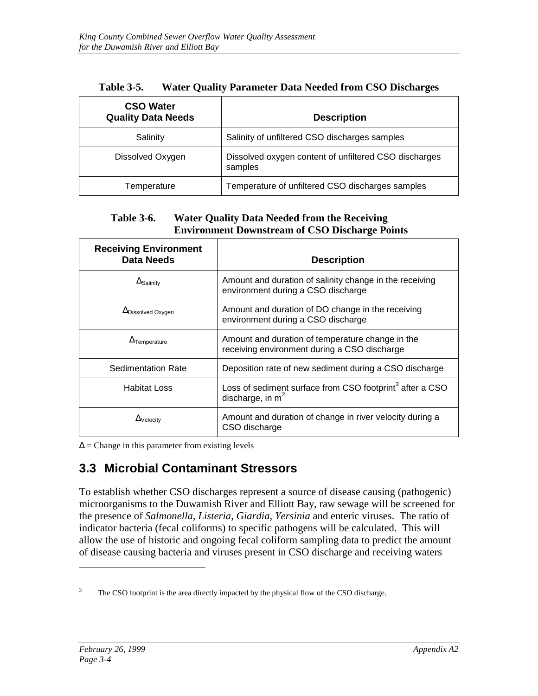<span id="page-12-0"></span>

| <b>CSO Water</b><br><b>Quality Data Needs</b> | <b>Description</b>                                               |
|-----------------------------------------------|------------------------------------------------------------------|
| Salinity                                      | Salinity of unfiltered CSO discharges samples                    |
| Dissolved Oxygen                              | Dissolved oxygen content of unfiltered CSO discharges<br>samples |
| Temperature                                   | Temperature of unfiltered CSO discharges samples                 |

| <b>Table 3-5.</b> | <b>Water Quality Parameter Data Needed from CSO Discharges</b> |
|-------------------|----------------------------------------------------------------|
|-------------------|----------------------------------------------------------------|

#### **Table 3-6. Water Quality Data Needed from the Receiving Environment Downstream of CSO Discharge Points**

| <b>Receiving Environment</b><br><b>Data Needs</b> | <b>Description</b>                                                                               |
|---------------------------------------------------|--------------------------------------------------------------------------------------------------|
| $\Delta$ Salinity                                 | Amount and duration of salinity change in the receiving<br>environment during a CSO discharge    |
| $\Delta$ Dissolved Oxygen                         | Amount and duration of DO change in the receiving<br>environment during a CSO discharge          |
| $\Delta$ Temperature                              | Amount and duration of temperature change in the<br>receiving environment during a CSO discharge |
| <b>Sedimentation Rate</b>                         | Deposition rate of new sediment during a CSO discharge                                           |
| <b>Habitat Loss</b>                               | Loss of sediment surface from CSO footprint <sup>3</sup> after a CSO<br>discharge, in $m2$       |
| $\Delta$ Velocity                                 | Amount and duration of change in river velocity during a<br>CSO discharge                        |

 $\Delta$  = Change in this parameter from existing levels

#### **3.3 Microbial Contaminant Stressors**

To establish whether CSO discharges represent a source of disease causing (pathogenic) microorganisms to the Duwamish River and Elliott Bay, raw sewage will be screened for the presence of *Salmonella*, *Listeria*, *Giardia*, *Yersinia* and enteric viruses. The ratio of indicator bacteria (fecal coliforms) to specific pathogens will be calculated. This will allow the use of historic and ongoing fecal coliform sampling data to predict the amount of disease causing bacteria and viruses present in CSO discharge and receiving waters

<sup>3</sup> The CSO footprint is the area directly impacted by the physical flow of the CSO discharge.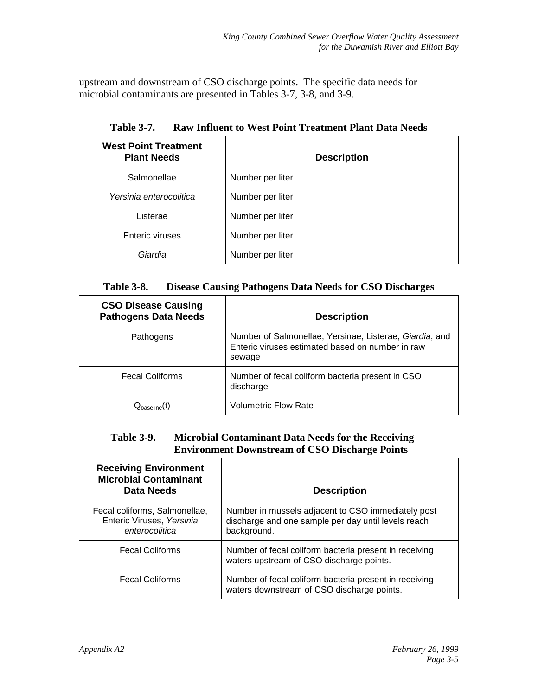<span id="page-13-0"></span>upstream and downstream of CSO discharge points. The specific data needs for microbial contaminants are presented in Tables 3-7, 3-8, and 3-9.

| <b>West Point Treatment</b><br><b>Plant Needs</b> | <b>Description</b> |
|---------------------------------------------------|--------------------|
| Salmonellae                                       | Number per liter   |
| Yersinia enterocolitica                           | Number per liter   |
| Listerae                                          | Number per liter   |
| Enteric viruses                                   | Number per liter   |
| Giardia                                           | Number per liter   |

**Table 3-7. Raw Influent to West Point Treatment Plant Data Needs**

| <b>Table 3-8.</b> | <b>Disease Causing Pathogens Data Needs for CSO Discharges</b> |
|-------------------|----------------------------------------------------------------|
|-------------------|----------------------------------------------------------------|

| <b>CSO Disease Causing</b><br><b>Pathogens Data Needs</b> | <b>Description</b>                                                                                                    |
|-----------------------------------------------------------|-----------------------------------------------------------------------------------------------------------------------|
| Pathogens                                                 | Number of Salmonellae, Yersinae, Listerae, Giardia, and<br>Enteric viruses estimated based on number in raw<br>sewage |
| <b>Fecal Coliforms</b>                                    | Number of fecal coliform bacteria present in CSO<br>discharge                                                         |
| $\mathsf{Q}_\mathsf{baseline}(\mathsf{t})$                | <b>Volumetric Flow Rate</b>                                                                                           |

#### **Table 3-9. Microbial Contaminant Data Needs for the Receiving Environment Downstream of CSO Discharge Points**

| <b>Receiving Environment</b><br><b>Microbial Contaminant</b><br><b>Data Needs</b> | <b>Description</b>                                                                                                       |
|-----------------------------------------------------------------------------------|--------------------------------------------------------------------------------------------------------------------------|
| Fecal coliforms, Salmonellae,<br>Enteric Viruses, Yersinia<br>enterocolitica      | Number in mussels adjacent to CSO immediately post<br>discharge and one sample per day until levels reach<br>background. |
| <b>Fecal Coliforms</b>                                                            | Number of fecal coliform bacteria present in receiving<br>waters upstream of CSO discharge points.                       |
| <b>Fecal Coliforms</b>                                                            | Number of fecal coliform bacteria present in receiving<br>waters downstream of CSO discharge points.                     |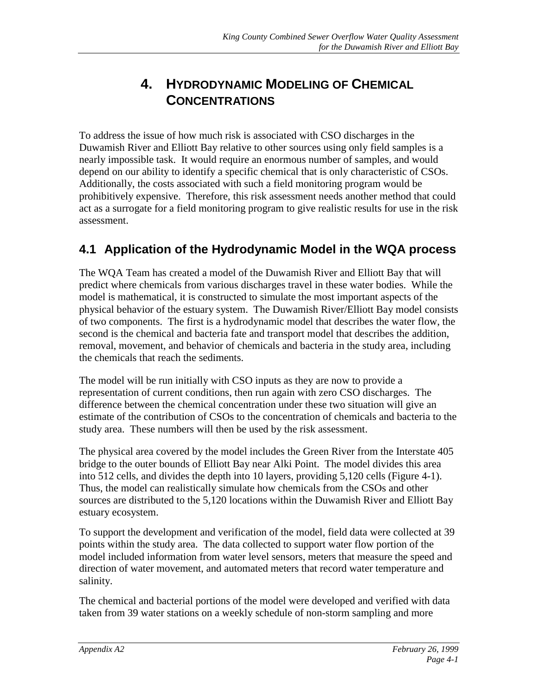# **4. HYDRODYNAMIC MODELING OF CHEMICAL CONCENTRATIONS**

<span id="page-14-0"></span>To address the issue of how much risk is associated with CSO discharges in the Duwamish River and Elliott Bay relative to other sources using only field samples is a nearly impossible task. It would require an enormous number of samples, and would depend on our ability to identify a specific chemical that is only characteristic of CSOs. Additionally, the costs associated with such a field monitoring program would be prohibitively expensive. Therefore, this risk assessment needs another method that could act as a surrogate for a field monitoring program to give realistic results for use in the risk assessment.

### **4.1 Application of the Hydrodynamic Model in the WQA process**

The WQA Team has created a model of the Duwamish River and Elliott Bay that will predict where chemicals from various discharges travel in these water bodies. While the model is mathematical, it is constructed to simulate the most important aspects of the physical behavior of the estuary system. The Duwamish River/Elliott Bay model consists of two components. The first is a hydrodynamic model that describes the water flow, the second is the chemical and bacteria fate and transport model that describes the addition, removal, movement, and behavior of chemicals and bacteria in the study area, including the chemicals that reach the sediments.

The model will be run initially with CSO inputs as they are now to provide a representation of current conditions, then run again with zero CSO discharges. The difference between the chemical concentration under these two situation will give an estimate of the contribution of CSOs to the concentration of chemicals and bacteria to the study area. These numbers will then be used by the risk assessment.

The physical area covered by the model includes the Green River from the Interstate 405 bridge to the outer bounds of Elliott Bay near Alki Point. The model divides this area into 512 cells, and divides the depth into 10 layers, providing 5,120 cells (Figure 4-1). Thus, the model can realistically simulate how chemicals from the CSOs and other sources are distributed to the 5,120 locations within the Duwamish River and Elliott Bay estuary ecosystem.

To support the development and verification of the model, field data were collected at 39 points within the study area. The data collected to support water flow portion of the model included information from water level sensors, meters that measure the speed and direction of water movement, and automated meters that record water temperature and salinity.

The chemical and bacterial portions of the model were developed and verified with data taken from 39 water stations on a weekly schedule of non-storm sampling and more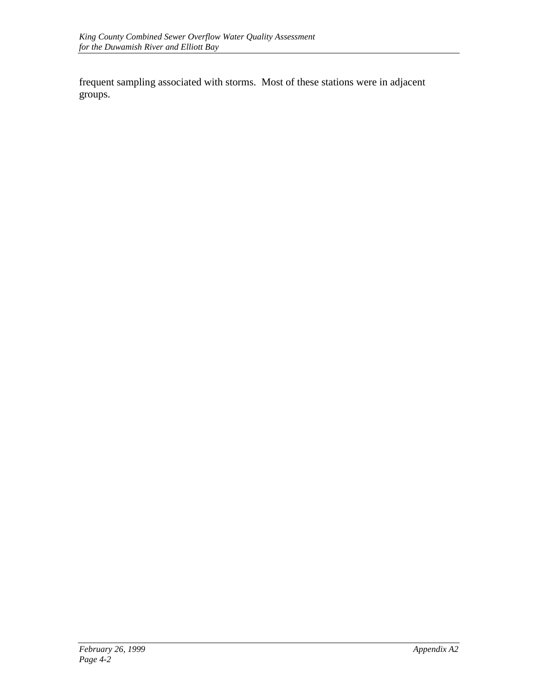frequent sampling associated with storms. Most of these stations were in adjacent groups.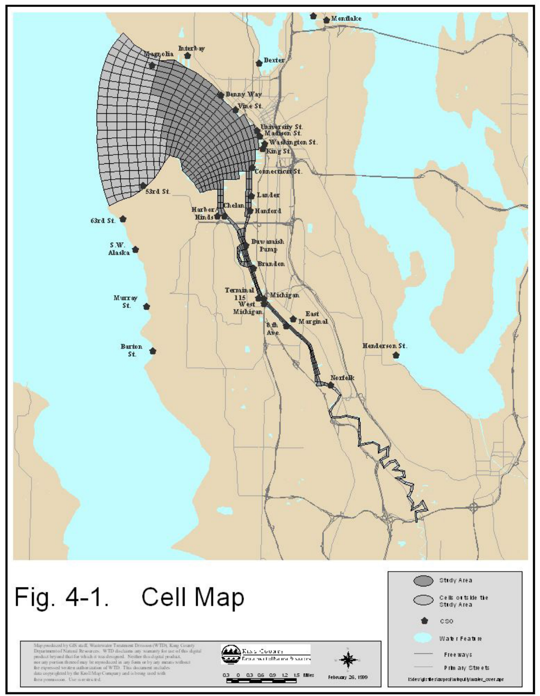

Map produced by GB and<br>I. Westexnier Treatment Dessoun (WTD). King Gounty Department of Natural Resources. WTD disclosure any womanly for use of this digital product beyond that for which it was designed. Neither this dig free pennission. Use is restricted.



0.3 0 0.3 0.6 0.9 1.2 1.5 MHz

February 26, 1999

Eldewigishte slauproftwirgulitylwater\_over.apr

Free ways Prim ary Streets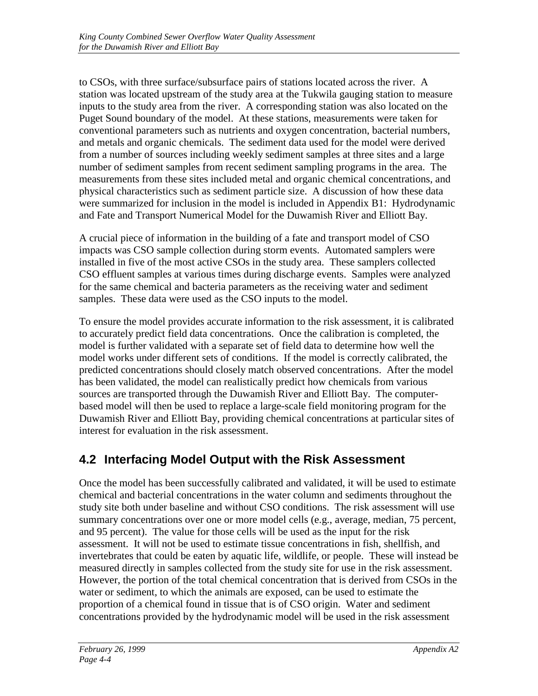<span id="page-17-0"></span>to CSOs, with three surface/subsurface pairs of stations located across the river. A station was located upstream of the study area at the Tukwila gauging station to measure inputs to the study area from the river. A corresponding station was also located on the Puget Sound boundary of the model. At these stations, measurements were taken for conventional parameters such as nutrients and oxygen concentration, bacterial numbers, and metals and organic chemicals. The sediment data used for the model were derived from a number of sources including weekly sediment samples at three sites and a large number of sediment samples from recent sediment sampling programs in the area. The measurements from these sites included metal and organic chemical concentrations, and physical characteristics such as sediment particle size. A discussion of how these data were summarized for inclusion in the model is included in Appendix B1: Hydrodynamic and Fate and Transport Numerical Model for the Duwamish River and Elliott Bay.

A crucial piece of information in the building of a fate and transport model of CSO impacts was CSO sample collection during storm events. Automated samplers were installed in five of the most active CSOs in the study area. These samplers collected CSO effluent samples at various times during discharge events. Samples were analyzed for the same chemical and bacteria parameters as the receiving water and sediment samples. These data were used as the CSO inputs to the model.

To ensure the model provides accurate information to the risk assessment, it is calibrated to accurately predict field data concentrations. Once the calibration is completed, the model is further validated with a separate set of field data to determine how well the model works under different sets of conditions. If the model is correctly calibrated, the predicted concentrations should closely match observed concentrations. After the model has been validated, the model can realistically predict how chemicals from various sources are transported through the Duwamish River and Elliott Bay. The computerbased model will then be used to replace a large-scale field monitoring program for the Duwamish River and Elliott Bay, providing chemical concentrations at particular sites of interest for evaluation in the risk assessment.

### **4.2 Interfacing Model Output with the Risk Assessment**

Once the model has been successfully calibrated and validated, it will be used to estimate chemical and bacterial concentrations in the water column and sediments throughout the study site both under baseline and without CSO conditions. The risk assessment will use summary concentrations over one or more model cells (e.g., average, median, 75 percent, and 95 percent). The value for those cells will be used as the input for the risk assessment. It will not be used to estimate tissue concentrations in fish, shellfish, and invertebrates that could be eaten by aquatic life, wildlife, or people. These will instead be measured directly in samples collected from the study site for use in the risk assessment. However, the portion of the total chemical concentration that is derived from CSOs in the water or sediment, to which the animals are exposed, can be used to estimate the proportion of a chemical found in tissue that is of CSO origin. Water and sediment concentrations provided by the hydrodynamic model will be used in the risk assessment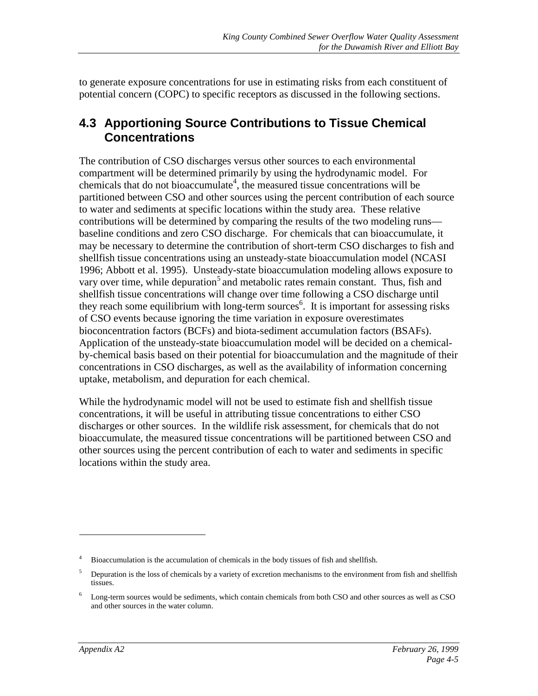<span id="page-18-0"></span>to generate exposure concentrations for use in estimating risks from each constituent of potential concern (COPC) to specific receptors as discussed in the following sections.

#### **4.3 Apportioning Source Contributions to Tissue Chemical Concentrations**

The contribution of CSO discharges versus other sources to each environmental compartment will be determined primarily by using the hydrodynamic model. For chemicals that do not bioaccumulate<sup>4</sup>, the measured tissue concentrations will be partitioned between CSO and other sources using the percent contribution of each source to water and sediments at specific locations within the study area. These relative contributions will be determined by comparing the results of the two modeling runs baseline conditions and zero CSO discharge. For chemicals that can bioaccumulate, it may be necessary to determine the contribution of short-term CSO discharges to fish and shellfish tissue concentrations using an unsteady-state bioaccumulation model (NCASI 1996; Abbott et al. 1995). Unsteady-state bioaccumulation modeling allows exposure to vary over time, while depuration<sup>5</sup> and metabolic rates remain constant. Thus, fish and shellfish tissue concentrations will change over time following a CSO discharge until they reach some equilibrium with long-term sources<sup>6</sup>. It is important for assessing risks of CSO events because ignoring the time variation in exposure overestimates bioconcentration factors (BCFs) and biota-sediment accumulation factors (BSAFs). Application of the unsteady-state bioaccumulation model will be decided on a chemicalby-chemical basis based on their potential for bioaccumulation and the magnitude of their concentrations in CSO discharges, as well as the availability of information concerning uptake, metabolism, and depuration for each chemical.

While the hydrodynamic model will not be used to estimate fish and shellfish tissue concentrations, it will be useful in attributing tissue concentrations to either CSO discharges or other sources. In the wildlife risk assessment, for chemicals that do not bioaccumulate, the measured tissue concentrations will be partitioned between CSO and other sources using the percent contribution of each to water and sediments in specific locations within the study area.

<sup>4</sup> Bioaccumulation is the accumulation of chemicals in the body tissues of fish and shellfish.

 $5$  Depuration is the loss of chemicals by a variety of excretion mechanisms to the environment from fish and shellfish tissues.

<sup>6</sup> Long-term sources would be sediments, which contain chemicals from both CSO and other sources as well as CSO and other sources in the water column.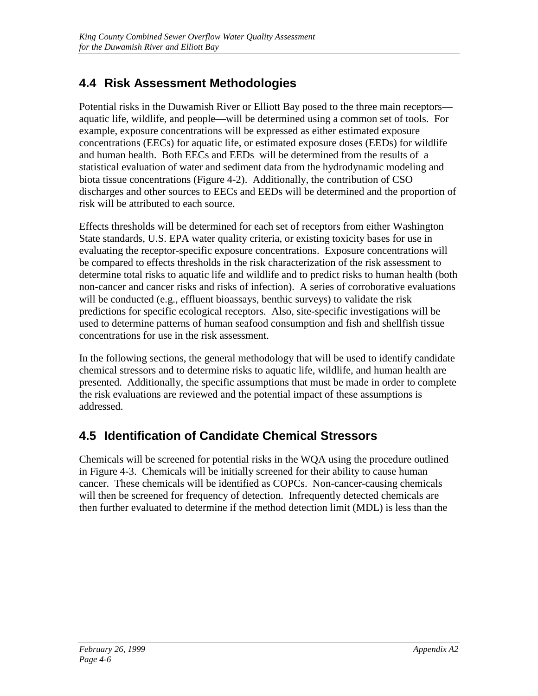# <span id="page-19-0"></span>**4.4 Risk Assessment Methodologies**

Potential risks in the Duwamish River or Elliott Bay posed to the three main receptors aquatic life, wildlife, and people—will be determined using a common set of tools. For example, exposure concentrations will be expressed as either estimated exposure concentrations (EECs) for aquatic life, or estimated exposure doses (EEDs) for wildlife and human health. Both EECs and EEDs will be determined from the results of a statistical evaluation of water and sediment data from the hydrodynamic modeling and biota tissue concentrations (Figure 4-2). Additionally, the contribution of CSO discharges and other sources to EECs and EEDs will be determined and the proportion of risk will be attributed to each source.

Effects thresholds will be determined for each set of receptors from either Washington State standards, U.S. EPA water quality criteria, or existing toxicity bases for use in evaluating the receptor-specific exposure concentrations. Exposure concentrations will be compared to effects thresholds in the risk characterization of the risk assessment to determine total risks to aquatic life and wildlife and to predict risks to human health (both non-cancer and cancer risks and risks of infection). A series of corroborative evaluations will be conducted (e.g., effluent bioassays, benthic surveys) to validate the risk predictions for specific ecological receptors. Also, site-specific investigations will be used to determine patterns of human seafood consumption and fish and shellfish tissue concentrations for use in the risk assessment.

In the following sections, the general methodology that will be used to identify candidate chemical stressors and to determine risks to aquatic life, wildlife, and human health are presented. Additionally, the specific assumptions that must be made in order to complete the risk evaluations are reviewed and the potential impact of these assumptions is addressed.

### **4.5 Identification of Candidate Chemical Stressors**

Chemicals will be screened for potential risks in the WQA using the procedure outlined in Figure 4-3. Chemicals will be initially screened for their ability to cause human cancer. These chemicals will be identified as COPCs. Non-cancer-causing chemicals will then be screened for frequency of detection. Infrequently detected chemicals are then further evaluated to determine if the method detection limit (MDL) is less than the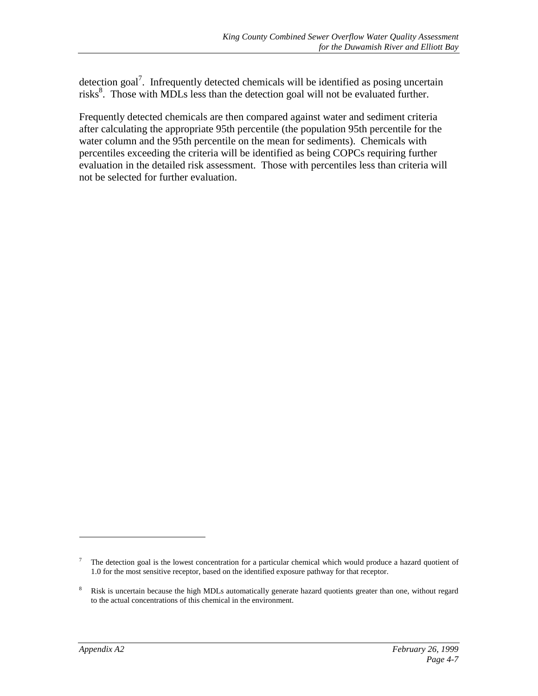detection goal<sup>7</sup>. Infrequently detected chemicals will be identified as posing uncertain risks<sup>8</sup>. Those with MDLs less than the detection goal will not be evaluated further.

Frequently detected chemicals are then compared against water and sediment criteria after calculating the appropriate 95th percentile (the population 95th percentile for the water column and the 95th percentile on the mean for sediments). Chemicals with percentiles exceeding the criteria will be identified as being COPCs requiring further evaluation in the detailed risk assessment. Those with percentiles less than criteria will not be selected for further evaluation.

<sup>7</sup> The detection goal is the lowest concentration for a particular chemical which would produce a hazard quotient of 1.0 for the most sensitive receptor, based on the identified exposure pathway for that receptor.

<sup>&</sup>lt;sup>8</sup> Risk is uncertain because the high MDLs automatically generate hazard quotients greater than one, without regard to the actual concentrations of this chemical in the environment.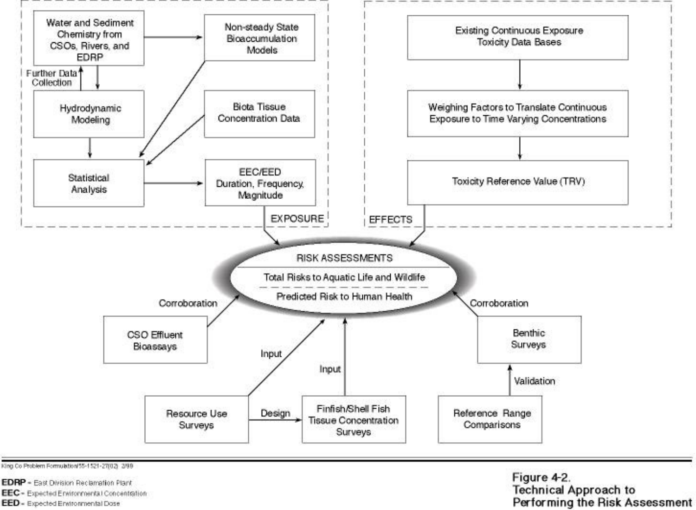

King Co Problem Formulation/55-1521-27(02) 2/99

EDRP - East Division Reclamation Plant

EEC - Expected Environmental Concentration

EED = Expected Environmental Dose

Figure 4-2. **Technical Approach to** Performing the Risk Assessment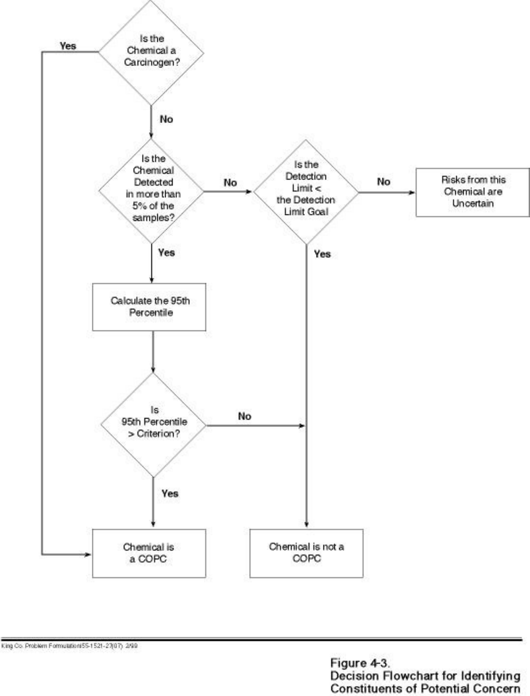

King Co. Problem Formulation 55-1521-27(07) 2/99

Figure 4-3.<br>Decision Flowchart for Identifying<br>Constituents of Potential Concern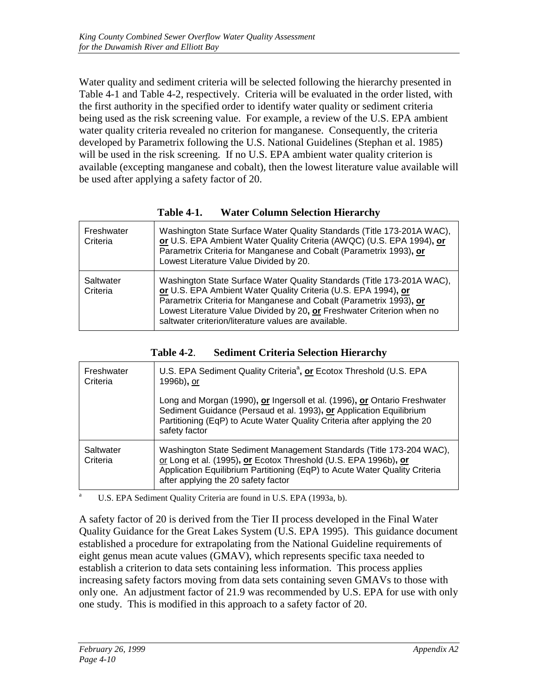<span id="page-23-0"></span>Water quality and sediment criteria will be selected following the hierarchy presented in Table 4-1 and Table 4-2, respectively. Criteria will be evaluated in the order listed, with the first authority in the specified order to identify water quality or sediment criteria being used as the risk screening value. For example, a review of the U.S. EPA ambient water quality criteria revealed no criterion for manganese. Consequently, the criteria developed by Parametrix following the U.S. National Guidelines (Stephan et al. 1985) will be used in the risk screening. If no U.S. EPA ambient water quality criterion is available (excepting manganese and cobalt), then the lowest literature value available will be used after applying a safety factor of 20.

| Freshwater<br>Criteria | Washington State Surface Water Quality Standards (Title 173-201A WAC),<br>or U.S. EPA Ambient Water Quality Criteria (AWQC) (U.S. EPA 1994), or<br>Parametrix Criteria for Manganese and Cobalt (Parametrix 1993), or<br>Lowest Literature Value Divided by 20.                                                                                  |
|------------------------|--------------------------------------------------------------------------------------------------------------------------------------------------------------------------------------------------------------------------------------------------------------------------------------------------------------------------------------------------|
| Saltwater<br>Criteria  | Washington State Surface Water Quality Standards (Title 173-201A WAC),<br>or U.S. EPA Ambient Water Quality Criteria (U.S. EPA 1994), or<br>Parametrix Criteria for Manganese and Cobalt (Parametrix 1993), or<br>Lowest Literature Value Divided by 20, or Freshwater Criterion when no<br>saltwater criterion/literature values are available. |

| <b>Table 4-1.</b> |  |  |  | <b>Water Column Selection Hierarchy</b> |
|-------------------|--|--|--|-----------------------------------------|
|-------------------|--|--|--|-----------------------------------------|

| Freshwater<br>Criteria | U.S. EPA Sediment Quality Criteria <sup>a</sup> , or Ecotox Threshold (U.S. EPA<br>1996b), or                                                                                                                                                               |
|------------------------|-------------------------------------------------------------------------------------------------------------------------------------------------------------------------------------------------------------------------------------------------------------|
|                        | Long and Morgan (1990), or Ingersoll et al. (1996), or Ontario Freshwater<br>Sediment Guidance (Persaud et al. 1993), or Application Equilibrium<br>Partitioning (EqP) to Acute Water Quality Criteria after applying the 20<br>safety factor               |
| Saltwater<br>Criteria  | Washington State Sediment Management Standards (Title 173-204 WAC),<br>or Long et al. (1995), or Ecotox Threshold (U.S. EPA 1996b), or<br>Application Equilibrium Partitioning (EqP) to Acute Water Quality Criteria<br>after applying the 20 safety factor |

**Table 4-2**. **Sediment Criteria Selection Hierarchy**

U.S. EPA Sediment Quality Criteria are found in U.S. EPA (1993a, b).

A safety factor of 20 is derived from the Tier II process developed in the Final Water Quality Guidance for the Great Lakes System (U.S. EPA 1995). This guidance document established a procedure for extrapolating from the National Guideline requirements of eight genus mean acute values (GMAV), which represents specific taxa needed to establish a criterion to data sets containing less information. This process applies increasing safety factors moving from data sets containing seven GMAVs to those with only one. An adjustment factor of 21.9 was recommended by U.S. EPA for use with only one study. This is modified in this approach to a safety factor of 20.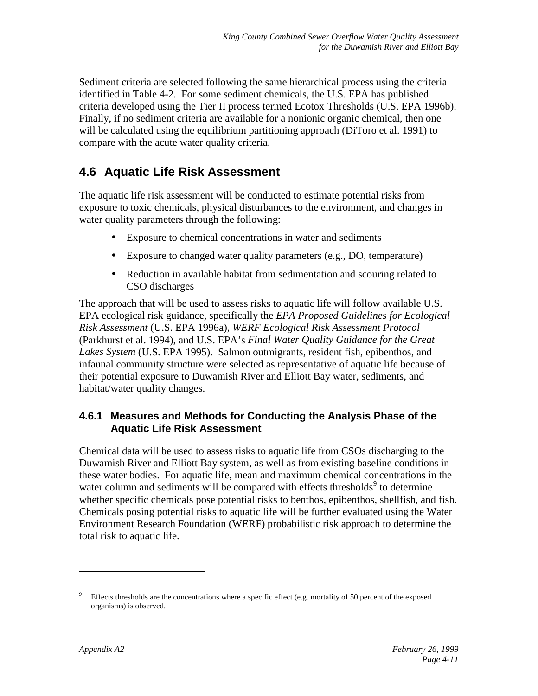<span id="page-24-0"></span>Sediment criteria are selected following the same hierarchical process using the criteria identified in Table 4-2. For some sediment chemicals, the U.S. EPA has published criteria developed using the Tier II process termed Ecotox Thresholds (U.S. EPA 1996b). Finally, if no sediment criteria are available for a nonionic organic chemical, then one will be calculated using the equilibrium partitioning approach (DiToro et al. 1991) to compare with the acute water quality criteria.

### **4.6 Aquatic Life Risk Assessment**

The aquatic life risk assessment will be conducted to estimate potential risks from exposure to toxic chemicals, physical disturbances to the environment, and changes in water quality parameters through the following:

- Exposure to chemical concentrations in water and sediments
- Exposure to changed water quality parameters (e.g., DO, temperature)
- Reduction in available habitat from sedimentation and scouring related to CSO discharges

The approach that will be used to assess risks to aquatic life will follow available U.S. EPA ecological risk guidance, specifically the *EPA Proposed Guidelines for Ecological Risk Assessment* (U.S. EPA 1996a), *WERF Ecological Risk Assessment Protocol* (Parkhurst et al. 1994), and U.S. EPA's *Final Water Quality Guidance for the Great Lakes System* (U.S. EPA 1995). Salmon outmigrants, resident fish, epibenthos, and infaunal community structure were selected as representative of aquatic life because of their potential exposure to Duwamish River and Elliott Bay water, sediments, and habitat/water quality changes.

#### **4.6.1 Measures and Methods for Conducting the Analysis Phase of the Aquatic Life Risk Assessment**

Chemical data will be used to assess risks to aquatic life from CSOs discharging to the Duwamish River and Elliott Bay system, as well as from existing baseline conditions in these water bodies. For aquatic life, mean and maximum chemical concentrations in the water column and sediments will be compared with effects thresholds $9$  to determine whether specific chemicals pose potential risks to benthos, epibenthos, shellfish, and fish. Chemicals posing potential risks to aquatic life will be further evaluated using the Water Environment Research Foundation (WERF) probabilistic risk approach to determine the total risk to aquatic life.

<sup>9</sup> Effects thresholds are the concentrations where a specific effect (e.g. mortality of 50 percent of the exposed organisms) is observed.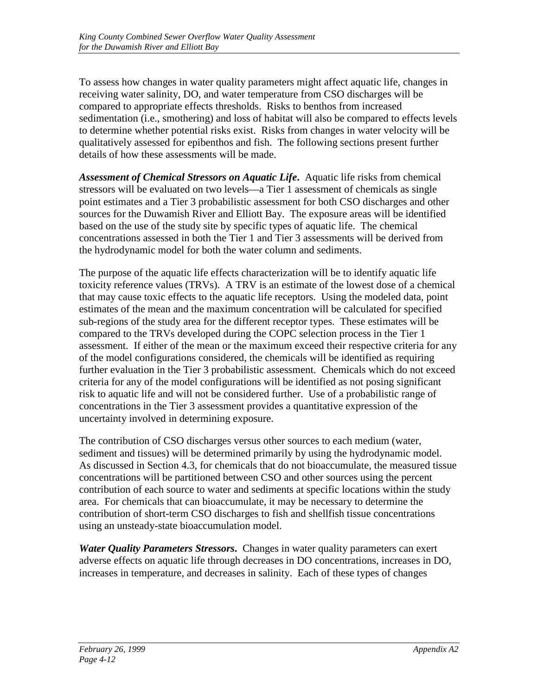To assess how changes in water quality parameters might affect aquatic life, changes in receiving water salinity, DO, and water temperature from CSO discharges will be compared to appropriate effects thresholds. Risks to benthos from increased sedimentation (i.e., smothering) and loss of habitat will also be compared to effects levels to determine whether potential risks exist. Risks from changes in water velocity will be qualitatively assessed for epibenthos and fish. The following sections present further details of how these assessments will be made.

*Assessment of Chemical Stressors on Aquatic Life***.** Aquatic life risks from chemical stressors will be evaluated on two levels—a Tier 1 assessment of chemicals as single point estimates and a Tier 3 probabilistic assessment for both CSO discharges and other sources for the Duwamish River and Elliott Bay. The exposure areas will be identified based on the use of the study site by specific types of aquatic life. The chemical concentrations assessed in both the Tier 1 and Tier 3 assessments will be derived from the hydrodynamic model for both the water column and sediments.

The purpose of the aquatic life effects characterization will be to identify aquatic life toxicity reference values (TRVs). A TRV is an estimate of the lowest dose of a chemical that may cause toxic effects to the aquatic life receptors. Using the modeled data, point estimates of the mean and the maximum concentration will be calculated for specified sub-regions of the study area for the different receptor types. These estimates will be compared to the TRVs developed during the COPC selection process in the Tier 1 assessment. If either of the mean or the maximum exceed their respective criteria for any of the model configurations considered, the chemicals will be identified as requiring further evaluation in the Tier 3 probabilistic assessment. Chemicals which do not exceed criteria for any of the model configurations will be identified as not posing significant risk to aquatic life and will not be considered further. Use of a probabilistic range of concentrations in the Tier 3 assessment provides a quantitative expression of the uncertainty involved in determining exposure.

The contribution of CSO discharges versus other sources to each medium (water, sediment and tissues) will be determined primarily by using the hydrodynamic model. As discussed in Section 4.3, for chemicals that do not bioaccumulate, the measured tissue concentrations will be partitioned between CSO and other sources using the percent contribution of each source to water and sediments at specific locations within the study area. For chemicals that can bioaccumulate, it may be necessary to determine the contribution of short-term CSO discharges to fish and shellfish tissue concentrations using an unsteady-state bioaccumulation model.

*Water Quality Parameters Stressors***.** Changes in water quality parameters can exert adverse effects on aquatic life through decreases in DO concentrations, increases in DO, increases in temperature, and decreases in salinity. Each of these types of changes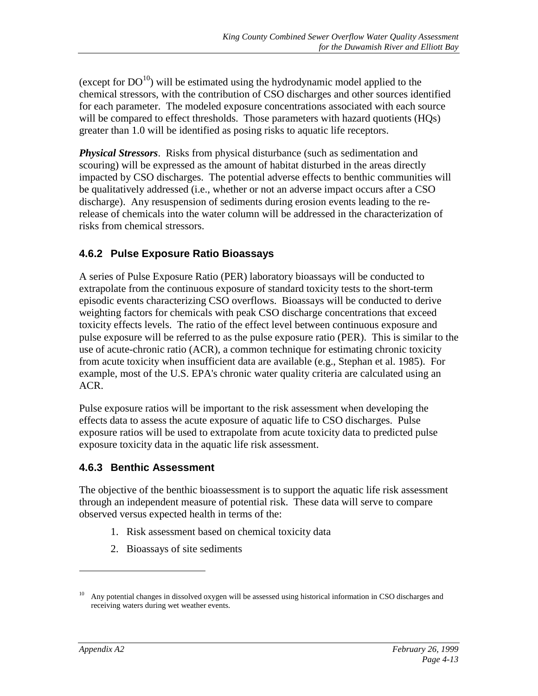<span id="page-26-0"></span>(except for  $DO^{10}$ ) will be estimated using the hydrodynamic model applied to the chemical stressors, with the contribution of CSO discharges and other sources identified for each parameter. The modeled exposure concentrations associated with each source will be compared to effect thresholds. Those parameters with hazard quotients (HQs) greater than 1.0 will be identified as posing risks to aquatic life receptors.

*Physical Stressors*. Risks from physical disturbance (such as sedimentation and scouring) will be expressed as the amount of habitat disturbed in the areas directly impacted by CSO discharges. The potential adverse effects to benthic communities will be qualitatively addressed (i.e., whether or not an adverse impact occurs after a CSO discharge). Any resuspension of sediments during erosion events leading to the rerelease of chemicals into the water column will be addressed in the characterization of risks from chemical stressors.

#### **4.6.2 Pulse Exposure Ratio Bioassays**

A series of Pulse Exposure Ratio (PER) laboratory bioassays will be conducted to extrapolate from the continuous exposure of standard toxicity tests to the short-term episodic events characterizing CSO overflows. Bioassays will be conducted to derive weighting factors for chemicals with peak CSO discharge concentrations that exceed toxicity effects levels. The ratio of the effect level between continuous exposure and pulse exposure will be referred to as the pulse exposure ratio (PER). This is similar to the use of acute-chronic ratio (ACR), a common technique for estimating chronic toxicity from acute toxicity when insufficient data are available (e.g., Stephan et al. 1985). For example, most of the U.S. EPA's chronic water quality criteria are calculated using an ACR.

Pulse exposure ratios will be important to the risk assessment when developing the effects data to assess the acute exposure of aquatic life to CSO discharges. Pulse exposure ratios will be used to extrapolate from acute toxicity data to predicted pulse exposure toxicity data in the aquatic life risk assessment.

#### **4.6.3 Benthic Assessment**

The objective of the benthic bioassessment is to support the aquatic life risk assessment through an independent measure of potential risk. These data will serve to compare observed versus expected health in terms of the:

- 1. Risk assessment based on chemical toxicity data
- 2. Bioassays of site sediments

<sup>&</sup>lt;sup>10</sup> Any potential changes in dissolved oxygen will be assessed using historical information in CSO discharges and receiving waters during wet weather events.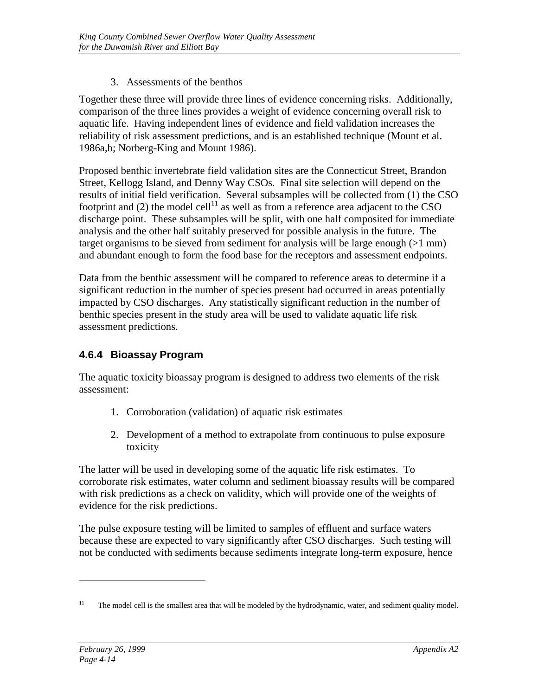#### 3. Assessments of the benthos

<span id="page-27-0"></span>Together these three will provide three lines of evidence concerning risks. Additionally, comparison of the three lines provides a weight of evidence concerning overall risk to aquatic life. Having independent lines of evidence and field validation increases the reliability of risk assessment predictions, and is an established technique (Mount et al. 1986a,b; Norberg-King and Mount 1986).

Proposed benthic invertebrate field validation sites are the Connecticut Street, Brandon Street, Kellogg Island, and Denny Way CSOs. Final site selection will depend on the results of initial field verification. Several subsamples will be collected from (1) the CSO footprint and (2) the model cell<sup>11</sup> as well as from a reference area adjacent to the CSO discharge point. These subsamples will be split, with one half composited for immediate analysis and the other half suitably preserved for possible analysis in the future. The target organisms to be sieved from sediment for analysis will be large enough  $(>1$  mm) and abundant enough to form the food base for the receptors and assessment endpoints.

Data from the benthic assessment will be compared to reference areas to determine if a significant reduction in the number of species present had occurred in areas potentially impacted by CSO discharges. Any statistically significant reduction in the number of benthic species present in the study area will be used to validate aquatic life risk assessment predictions.

#### **4.6.4 Bioassay Program**

The aquatic toxicity bioassay program is designed to address two elements of the risk assessment:

- 1. Corroboration (validation) of aquatic risk estimates
- 2. Development of a method to extrapolate from continuous to pulse exposure toxicity

The latter will be used in developing some of the aquatic life risk estimates. To corroborate risk estimates, water column and sediment bioassay results will be compared with risk predictions as a check on validity, which will provide one of the weights of evidence for the risk predictions.

The pulse exposure testing will be limited to samples of effluent and surface waters because these are expected to vary significantly after CSO discharges. Such testing will not be conducted with sediments because sediments integrate long-term exposure, hence

<sup>&</sup>lt;sup>11</sup> The model cell is the smallest area that will be modeled by the hydrodynamic, water, and sediment quality model.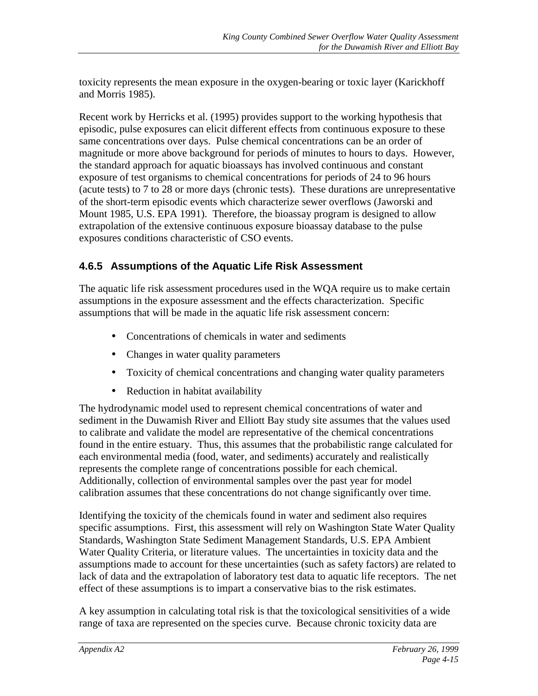<span id="page-28-0"></span>toxicity represents the mean exposure in the oxygen-bearing or toxic layer (Karickhoff and Morris 1985).

Recent work by Herricks et al. (1995) provides support to the working hypothesis that episodic, pulse exposures can elicit different effects from continuous exposure to these same concentrations over days. Pulse chemical concentrations can be an order of magnitude or more above background for periods of minutes to hours to days. However, the standard approach for aquatic bioassays has involved continuous and constant exposure of test organisms to chemical concentrations for periods of 24 to 96 hours (acute tests) to 7 to 28 or more days (chronic tests). These durations are unrepresentative of the short-term episodic events which characterize sewer overflows (Jaworski and Mount 1985, U.S. EPA 1991). Therefore, the bioassay program is designed to allow extrapolation of the extensive continuous exposure bioassay database to the pulse exposures conditions characteristic of CSO events.

#### **4.6.5 Assumptions of the Aquatic Life Risk Assessment**

The aquatic life risk assessment procedures used in the WQA require us to make certain assumptions in the exposure assessment and the effects characterization. Specific assumptions that will be made in the aquatic life risk assessment concern:

- Concentrations of chemicals in water and sediments
- Changes in water quality parameters
- Toxicity of chemical concentrations and changing water quality parameters
- Reduction in habitat availability

The hydrodynamic model used to represent chemical concentrations of water and sediment in the Duwamish River and Elliott Bay study site assumes that the values used to calibrate and validate the model are representative of the chemical concentrations found in the entire estuary. Thus, this assumes that the probabilistic range calculated for each environmental media (food, water, and sediments) accurately and realistically represents the complete range of concentrations possible for each chemical. Additionally, collection of environmental samples over the past year for model calibration assumes that these concentrations do not change significantly over time.

Identifying the toxicity of the chemicals found in water and sediment also requires specific assumptions. First, this assessment will rely on Washington State Water Quality Standards, Washington State Sediment Management Standards, U.S. EPA Ambient Water Quality Criteria, or literature values. The uncertainties in toxicity data and the assumptions made to account for these uncertainties (such as safety factors) are related to lack of data and the extrapolation of laboratory test data to aquatic life receptors. The net effect of these assumptions is to impart a conservative bias to the risk estimates.

A key assumption in calculating total risk is that the toxicological sensitivities of a wide range of taxa are represented on the species curve. Because chronic toxicity data are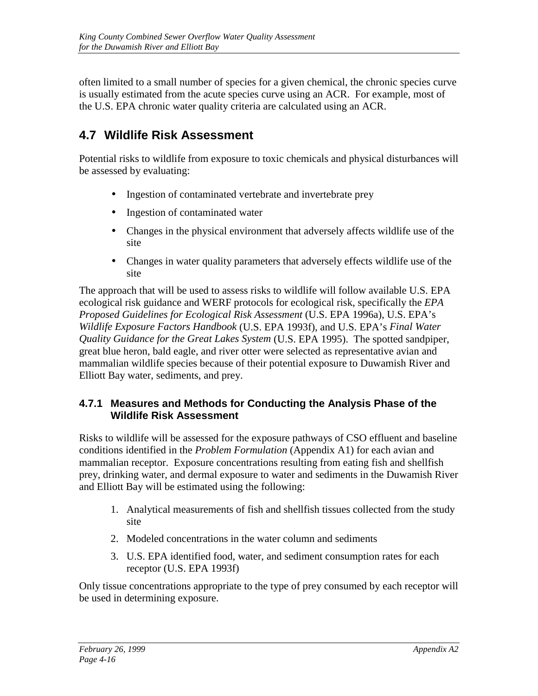<span id="page-29-0"></span>often limited to a small number of species for a given chemical, the chronic species curve is usually estimated from the acute species curve using an ACR. For example, most of the U.S. EPA chronic water quality criteria are calculated using an ACR.

### **4.7 Wildlife Risk Assessment**

Potential risks to wildlife from exposure to toxic chemicals and physical disturbances will be assessed by evaluating:

- Ingestion of contaminated vertebrate and invertebrate prey
- Ingestion of contaminated water
- Changes in the physical environment that adversely affects wildlife use of the site
- Changes in water quality parameters that adversely effects wildlife use of the site

The approach that will be used to assess risks to wildlife will follow available U.S. EPA ecological risk guidance and WERF protocols for ecological risk, specifically the *EPA Proposed Guidelines for Ecological Risk Assessment* (U.S. EPA 1996a), U.S. EPA's *Wildlife Exposure Factors Handbook* (U.S. EPA 1993f), and U.S. EPA's *Final Water Quality Guidance for the Great Lakes System* (U.S. EPA 1995). The spotted sandpiper, great blue heron, bald eagle, and river otter were selected as representative avian and mammalian wildlife species because of their potential exposure to Duwamish River and Elliott Bay water, sediments, and prey.

#### **4.7.1 Measures and Methods for Conducting the Analysis Phase of the Wildlife Risk Assessment**

Risks to wildlife will be assessed for the exposure pathways of CSO effluent and baseline conditions identified in the *Problem Formulation* (Appendix A1) for each avian and mammalian receptor. Exposure concentrations resulting from eating fish and shellfish prey, drinking water, and dermal exposure to water and sediments in the Duwamish River and Elliott Bay will be estimated using the following:

- 1. Analytical measurements of fish and shellfish tissues collected from the study site
- 2. Modeled concentrations in the water column and sediments
- 3. U.S. EPA identified food, water, and sediment consumption rates for each receptor (U.S. EPA 1993f)

Only tissue concentrations appropriate to the type of prey consumed by each receptor will be used in determining exposure.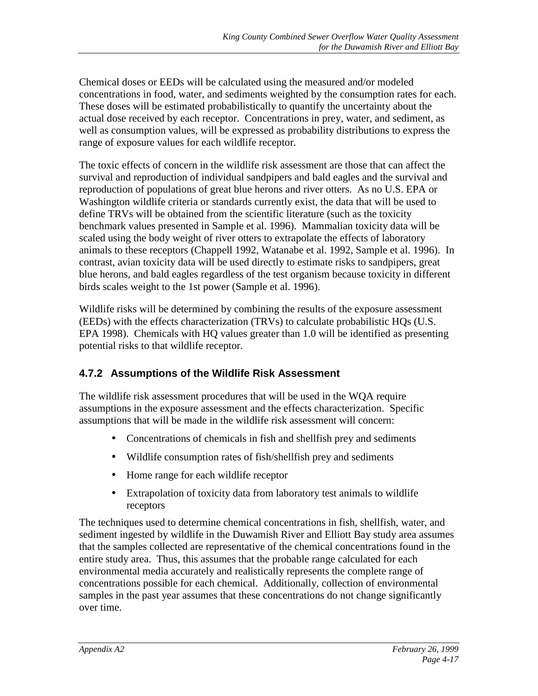<span id="page-30-0"></span>Chemical doses or EEDs will be calculated using the measured and/or modeled concentrations in food, water, and sediments weighted by the consumption rates for each. These doses will be estimated probabilistically to quantify the uncertainty about the actual dose received by each receptor. Concentrations in prey, water, and sediment, as well as consumption values, will be expressed as probability distributions to express the range of exposure values for each wildlife receptor.

The toxic effects of concern in the wildlife risk assessment are those that can affect the survival and reproduction of individual sandpipers and bald eagles and the survival and reproduction of populations of great blue herons and river otters. As no U.S. EPA or Washington wildlife criteria or standards currently exist, the data that will be used to define TRVs will be obtained from the scientific literature (such as the toxicity benchmark values presented in Sample et al. 1996). Mammalian toxicity data will be scaled using the body weight of river otters to extrapolate the effects of laboratory animals to these receptors (Chappell 1992, Watanabe et al. 1992, Sample et al. 1996). In contrast, avian toxicity data will be used directly to estimate risks to sandpipers, great blue herons, and bald eagles regardless of the test organism because toxicity in different birds scales weight to the 1st power (Sample et al. 1996).

Wildlife risks will be determined by combining the results of the exposure assessment (EEDs) with the effects characterization (TRVs) to calculate probabilistic HQs (U.S. EPA 1998). Chemicals with HQ values greater than 1.0 will be identified as presenting potential risks to that wildlife receptor.

#### **4.7.2 Assumptions of the Wildlife Risk Assessment**

The wildlife risk assessment procedures that will be used in the WQA require assumptions in the exposure assessment and the effects characterization. Specific assumptions that will be made in the wildlife risk assessment will concern:

- Concentrations of chemicals in fish and shellfish prey and sediments
- Wildlife consumption rates of fish/shellfish prey and sediments
- Home range for each wildlife receptor
- Extrapolation of toxicity data from laboratory test animals to wildlife receptors

The techniques used to determine chemical concentrations in fish, shellfish, water, and sediment ingested by wildlife in the Duwamish River and Elliott Bay study area assumes that the samples collected are representative of the chemical concentrations found in the entire study area. Thus, this assumes that the probable range calculated for each environmental media accurately and realistically represents the complete range of concentrations possible for each chemical. Additionally, collection of environmental samples in the past year assumes that these concentrations do not change significantly over time.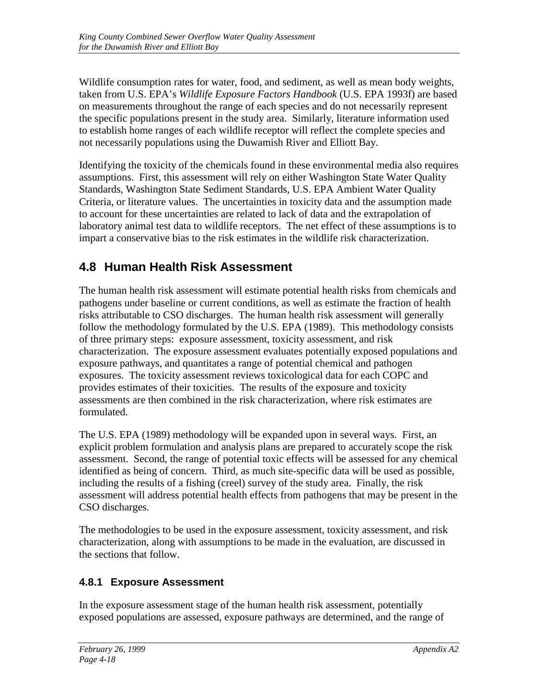<span id="page-31-0"></span>Wildlife consumption rates for water, food, and sediment, as well as mean body weights, taken from U.S. EPA's *Wildlife Exposure Factors Handbook* (U.S. EPA 1993f) are based on measurements throughout the range of each species and do not necessarily represent the specific populations present in the study area. Similarly, literature information used to establish home ranges of each wildlife receptor will reflect the complete species and not necessarily populations using the Duwamish River and Elliott Bay.

Identifying the toxicity of the chemicals found in these environmental media also requires assumptions. First, this assessment will rely on either Washington State Water Quality Standards, Washington State Sediment Standards, U.S. EPA Ambient Water Quality Criteria, or literature values. The uncertainties in toxicity data and the assumption made to account for these uncertainties are related to lack of data and the extrapolation of laboratory animal test data to wildlife receptors. The net effect of these assumptions is to impart a conservative bias to the risk estimates in the wildlife risk characterization.

### **4.8 Human Health Risk Assessment**

The human health risk assessment will estimate potential health risks from chemicals and pathogens under baseline or current conditions, as well as estimate the fraction of health risks attributable to CSO discharges. The human health risk assessment will generally follow the methodology formulated by the U.S. EPA (1989). This methodology consists of three primary steps: exposure assessment, toxicity assessment, and risk characterization. The exposure assessment evaluates potentially exposed populations and exposure pathways, and quantitates a range of potential chemical and pathogen exposures. The toxicity assessment reviews toxicological data for each COPC and provides estimates of their toxicities. The results of the exposure and toxicity assessments are then combined in the risk characterization, where risk estimates are formulated.

The U.S. EPA (1989) methodology will be expanded upon in several ways. First, an explicit problem formulation and analysis plans are prepared to accurately scope the risk assessment. Second, the range of potential toxic effects will be assessed for any chemical identified as being of concern. Third, as much site-specific data will be used as possible, including the results of a fishing (creel) survey of the study area. Finally, the risk assessment will address potential health effects from pathogens that may be present in the CSO discharges.

The methodologies to be used in the exposure assessment, toxicity assessment, and risk characterization, along with assumptions to be made in the evaluation, are discussed in the sections that follow.

#### **4.8.1 Exposure Assessment**

In the exposure assessment stage of the human health risk assessment, potentially exposed populations are assessed, exposure pathways are determined, and the range of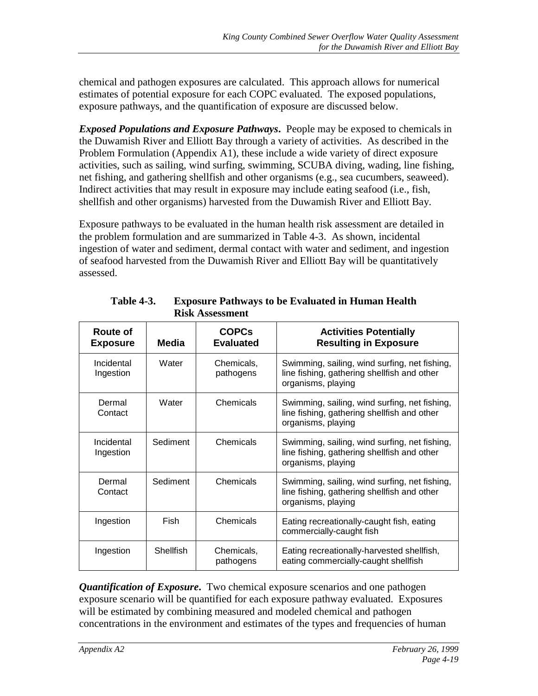<span id="page-32-0"></span>chemical and pathogen exposures are calculated. This approach allows for numerical estimates of potential exposure for each COPC evaluated. The exposed populations, exposure pathways, and the quantification of exposure are discussed below.

*Exposed Populations and Exposure Pathways***.** People may be exposed to chemicals in the Duwamish River and Elliott Bay through a variety of activities. As described in the Problem Formulation (Appendix A1), these include a wide variety of direct exposure activities, such as sailing, wind surfing, swimming, SCUBA diving, wading, line fishing, net fishing, and gathering shellfish and other organisms (e.g., sea cucumbers, seaweed). Indirect activities that may result in exposure may include eating seafood (i.e., fish, shellfish and other organisms) harvested from the Duwamish River and Elliott Bay.

Exposure pathways to be evaluated in the human health risk assessment are detailed in the problem formulation and are summarized in Table 4-3. As shown, incidental ingestion of water and sediment, dermal contact with water and sediment, and ingestion of seafood harvested from the Duwamish River and Elliott Bay will be quantitatively assessed.

| Route of<br><b>Exposure</b> | <b>Media</b>     | <b>COPCs</b><br><b>Evaluated</b> | <b>Activities Potentially</b><br><b>Resulting in Exposure</b>                                                      |
|-----------------------------|------------------|----------------------------------|--------------------------------------------------------------------------------------------------------------------|
| Incidental<br>Ingestion     | Water            | Chemicals,<br>pathogens          | Swimming, sailing, wind surfing, net fishing,<br>line fishing, gathering shellfish and other<br>organisms, playing |
| Dermal<br>Contact           | Water            | Chemicals                        | Swimming, sailing, wind surfing, net fishing,<br>line fishing, gathering shellfish and other<br>organisms, playing |
| Incidental<br>Ingestion     | Sediment         | Chemicals                        | Swimming, sailing, wind surfing, net fishing,<br>line fishing, gathering shellfish and other<br>organisms, playing |
| Dermal<br>Contact           | Sediment         | Chemicals                        | Swimming, sailing, wind surfing, net fishing,<br>line fishing, gathering shellfish and other<br>organisms, playing |
| Ingestion                   | <b>Fish</b>      | Chemicals                        | Eating recreationally-caught fish, eating<br>commercially-caught fish                                              |
| Ingestion                   | <b>Shellfish</b> | Chemicals,<br>pathogens          | Eating recreationally-harvested shellfish,<br>eating commercially-caught shellfish                                 |

**Table 4-3. Exposure Pathways to be Evaluated in Human Health Risk Assessment**

*Quantification of Exposure***.** Two chemical exposure scenarios and one pathogen exposure scenario will be quantified for each exposure pathway evaluated. Exposures will be estimated by combining measured and modeled chemical and pathogen concentrations in the environment and estimates of the types and frequencies of human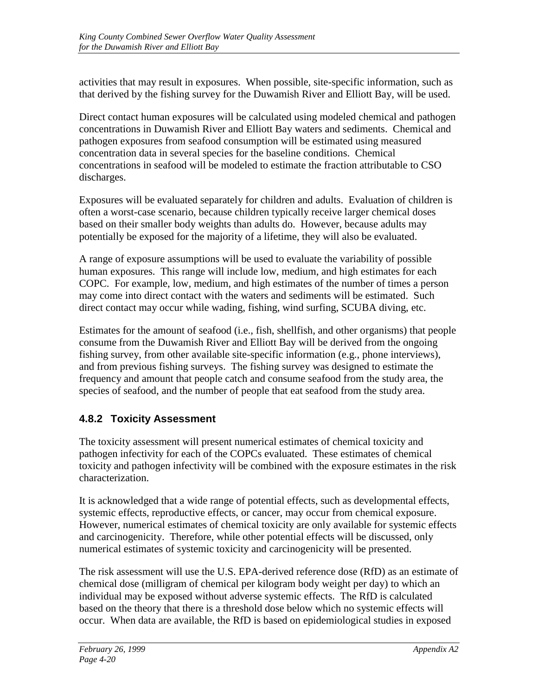<span id="page-33-0"></span>activities that may result in exposures. When possible, site-specific information, such as that derived by the fishing survey for the Duwamish River and Elliott Bay, will be used.

Direct contact human exposures will be calculated using modeled chemical and pathogen concentrations in Duwamish River and Elliott Bay waters and sediments. Chemical and pathogen exposures from seafood consumption will be estimated using measured concentration data in several species for the baseline conditions. Chemical concentrations in seafood will be modeled to estimate the fraction attributable to CSO discharges.

Exposures will be evaluated separately for children and adults. Evaluation of children is often a worst-case scenario, because children typically receive larger chemical doses based on their smaller body weights than adults do. However, because adults may potentially be exposed for the majority of a lifetime, they will also be evaluated.

A range of exposure assumptions will be used to evaluate the variability of possible human exposures. This range will include low, medium, and high estimates for each COPC. For example, low, medium, and high estimates of the number of times a person may come into direct contact with the waters and sediments will be estimated. Such direct contact may occur while wading, fishing, wind surfing, SCUBA diving, etc.

Estimates for the amount of seafood (i.e., fish, shellfish, and other organisms) that people consume from the Duwamish River and Elliott Bay will be derived from the ongoing fishing survey, from other available site-specific information (e.g., phone interviews), and from previous fishing surveys. The fishing survey was designed to estimate the frequency and amount that people catch and consume seafood from the study area, the species of seafood, and the number of people that eat seafood from the study area.

#### **4.8.2 Toxicity Assessment**

The toxicity assessment will present numerical estimates of chemical toxicity and pathogen infectivity for each of the COPCs evaluated. These estimates of chemical toxicity and pathogen infectivity will be combined with the exposure estimates in the risk characterization.

It is acknowledged that a wide range of potential effects, such as developmental effects, systemic effects, reproductive effects, or cancer, may occur from chemical exposure. However, numerical estimates of chemical toxicity are only available for systemic effects and carcinogenicity. Therefore, while other potential effects will be discussed, only numerical estimates of systemic toxicity and carcinogenicity will be presented.

The risk assessment will use the U.S. EPA-derived reference dose (RfD) as an estimate of chemical dose (milligram of chemical per kilogram body weight per day) to which an individual may be exposed without adverse systemic effects. The RfD is calculated based on the theory that there is a threshold dose below which no systemic effects will occur. When data are available, the RfD is based on epidemiological studies in exposed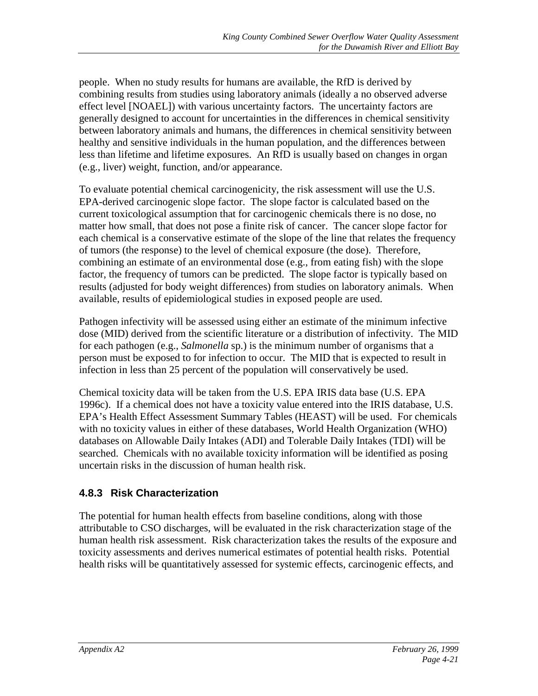<span id="page-34-0"></span>people. When no study results for humans are available, the RfD is derived by combining results from studies using laboratory animals (ideally a no observed adverse effect level [NOAEL]) with various uncertainty factors. The uncertainty factors are generally designed to account for uncertainties in the differences in chemical sensitivity between laboratory animals and humans, the differences in chemical sensitivity between healthy and sensitive individuals in the human population, and the differences between less than lifetime and lifetime exposures. An RfD is usually based on changes in organ (e.g., liver) weight, function, and/or appearance.

To evaluate potential chemical carcinogenicity, the risk assessment will use the U.S. EPA-derived carcinogenic slope factor. The slope factor is calculated based on the current toxicological assumption that for carcinogenic chemicals there is no dose, no matter how small, that does not pose a finite risk of cancer. The cancer slope factor for each chemical is a conservative estimate of the slope of the line that relates the frequency of tumors (the response) to the level of chemical exposure (the dose). Therefore, combining an estimate of an environmental dose (e.g., from eating fish) with the slope factor, the frequency of tumors can be predicted. The slope factor is typically based on results (adjusted for body weight differences) from studies on laboratory animals. When available, results of epidemiological studies in exposed people are used.

Pathogen infectivity will be assessed using either an estimate of the minimum infective dose (MID) derived from the scientific literature or a distribution of infectivity. The MID for each pathogen (e.g., *Salmonella* sp.) is the minimum number of organisms that a person must be exposed to for infection to occur. The MID that is expected to result in infection in less than 25 percent of the population will conservatively be used.

Chemical toxicity data will be taken from the U.S. EPA IRIS data base (U.S. EPA 1996c). If a chemical does not have a toxicity value entered into the IRIS database, U.S. EPA's Health Effect Assessment Summary Tables (HEAST) will be used. For chemicals with no toxicity values in either of these databases, World Health Organization (WHO) databases on Allowable Daily Intakes (ADI) and Tolerable Daily Intakes (TDI) will be searched. Chemicals with no available toxicity information will be identified as posing uncertain risks in the discussion of human health risk.

#### **4.8.3 Risk Characterization**

The potential for human health effects from baseline conditions, along with those attributable to CSO discharges, will be evaluated in the risk characterization stage of the human health risk assessment. Risk characterization takes the results of the exposure and toxicity assessments and derives numerical estimates of potential health risks. Potential health risks will be quantitatively assessed for systemic effects, carcinogenic effects, and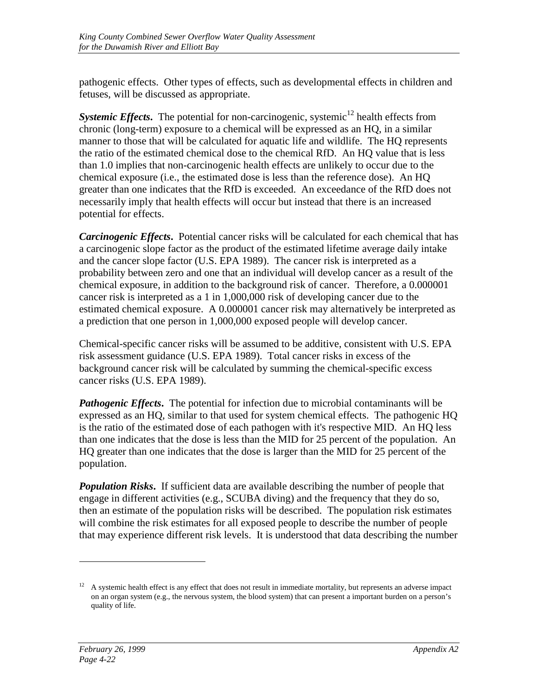pathogenic effects. Other types of effects, such as developmental effects in children and fetuses, will be discussed as appropriate.

**Systemic Effects.** The potential for non-carcinogenic, systemic<sup>12</sup> health effects from chronic (long-term) exposure to a chemical will be expressed as an HQ, in a similar manner to those that will be calculated for aquatic life and wildlife. The HQ represents the ratio of the estimated chemical dose to the chemical RfD. An HQ value that is less than 1.0 implies that non-carcinogenic health effects are unlikely to occur due to the chemical exposure (i.e., the estimated dose is less than the reference dose). An HQ greater than one indicates that the RfD is exceeded. An exceedance of the RfD does not necessarily imply that health effects will occur but instead that there is an increased potential for effects.

*Carcinogenic Effects*. Potential cancer risks will be calculated for each chemical that has a carcinogenic slope factor as the product of the estimated lifetime average daily intake and the cancer slope factor (U.S. EPA 1989). The cancer risk is interpreted as a probability between zero and one that an individual will develop cancer as a result of the chemical exposure, in addition to the background risk of cancer. Therefore, a 0.000001 cancer risk is interpreted as a 1 in 1,000,000 risk of developing cancer due to the estimated chemical exposure. A 0.000001 cancer risk may alternatively be interpreted as a prediction that one person in 1,000,000 exposed people will develop cancer.

Chemical-specific cancer risks will be assumed to be additive, consistent with U.S. EPA risk assessment guidance (U.S. EPA 1989). Total cancer risks in excess of the background cancer risk will be calculated by summing the chemical-specific excess cancer risks (U.S. EPA 1989).

*Pathogenic Effects*. The potential for infection due to microbial contaminants will be expressed as an HQ, similar to that used for system chemical effects. The pathogenic HQ is the ratio of the estimated dose of each pathogen with it's respective MID. An HQ less than one indicates that the dose is less than the MID for 25 percent of the population. An HQ greater than one indicates that the dose is larger than the MID for 25 percent of the population.

*Population Risks*. If sufficient data are available describing the number of people that engage in different activities (e.g., SCUBA diving) and the frequency that they do so, then an estimate of the population risks will be described. The population risk estimates will combine the risk estimates for all exposed people to describe the number of people that may experience different risk levels. It is understood that data describing the number

 $12$  A systemic health effect is any effect that does not result in immediate mortality, but represents an adverse impact on an organ system (e.g., the nervous system, the blood system) that can present a important burden on a person's quality of life.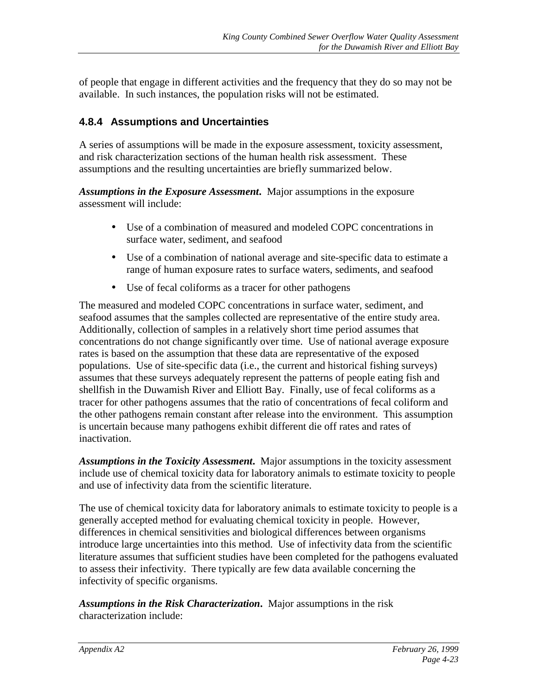<span id="page-36-0"></span>of people that engage in different activities and the frequency that they do so may not be available. In such instances, the population risks will not be estimated.

#### **4.8.4 Assumptions and Uncertainties**

A series of assumptions will be made in the exposure assessment, toxicity assessment, and risk characterization sections of the human health risk assessment. These assumptions and the resulting uncertainties are briefly summarized below.

*Assumptions in the Exposure Assessment***.** Major assumptions in the exposure assessment will include:

- Use of a combination of measured and modeled COPC concentrations in surface water, sediment, and seafood
- Use of a combination of national average and site-specific data to estimate a range of human exposure rates to surface waters, sediments, and seafood
- Use of fecal coliforms as a tracer for other pathogens

The measured and modeled COPC concentrations in surface water, sediment, and seafood assumes that the samples collected are representative of the entire study area. Additionally, collection of samples in a relatively short time period assumes that concentrations do not change significantly over time. Use of national average exposure rates is based on the assumption that these data are representative of the exposed populations. Use of site-specific data (i.e., the current and historical fishing surveys) assumes that these surveys adequately represent the patterns of people eating fish and shellfish in the Duwamish River and Elliott Bay. Finally, use of fecal coliforms as a tracer for other pathogens assumes that the ratio of concentrations of fecal coliform and the other pathogens remain constant after release into the environment. This assumption is uncertain because many pathogens exhibit different die off rates and rates of inactivation.

*Assumptions in the Toxicity Assessment***.** Major assumptions in the toxicity assessment include use of chemical toxicity data for laboratory animals to estimate toxicity to people and use of infectivity data from the scientific literature.

The use of chemical toxicity data for laboratory animals to estimate toxicity to people is a generally accepted method for evaluating chemical toxicity in people. However, differences in chemical sensitivities and biological differences between organisms introduce large uncertainties into this method. Use of infectivity data from the scientific literature assumes that sufficient studies have been completed for the pathogens evaluated to assess their infectivity. There typically are few data available concerning the infectivity of specific organisms.

*Assumptions in the Risk Characterization***.** Major assumptions in the risk characterization include: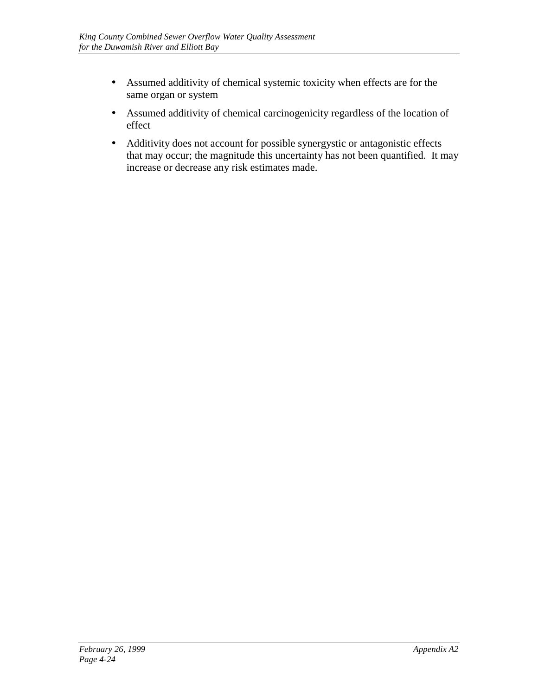- Assumed additivity of chemical systemic toxicity when effects are for the same organ or system
- Assumed additivity of chemical carcinogenicity regardless of the location of effect
- Additivity does not account for possible synergystic or antagonistic effects that may occur; the magnitude this uncertainty has not been quantified. It may increase or decrease any risk estimates made.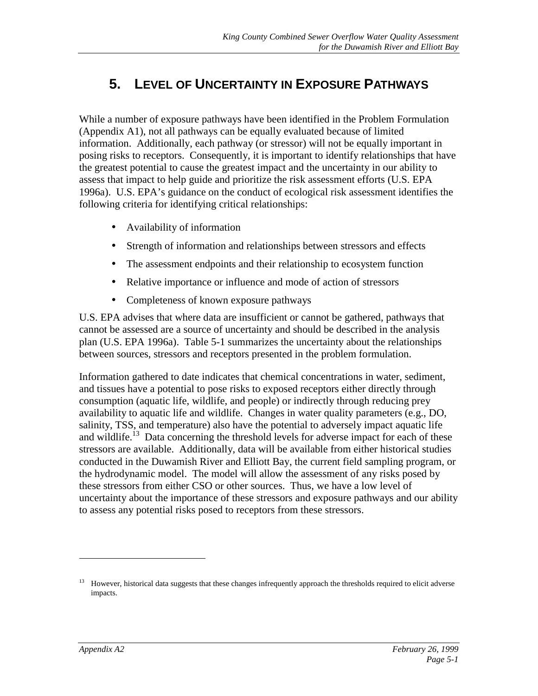# <span id="page-38-0"></span>**5. LEVEL OF UNCERTAINTY IN EXPOSURE PATHWAYS**

While a number of exposure pathways have been identified in the Problem Formulation (Appendix A1), not all pathways can be equally evaluated because of limited information. Additionally, each pathway (or stressor) will not be equally important in posing risks to receptors. Consequently, it is important to identify relationships that have the greatest potential to cause the greatest impact and the uncertainty in our ability to assess that impact to help guide and prioritize the risk assessment efforts (U.S. EPA 1996a). U.S. EPA's guidance on the conduct of ecological risk assessment identifies the following criteria for identifying critical relationships:

- Availability of information
- Strength of information and relationships between stressors and effects
- The assessment endpoints and their relationship to ecosystem function
- Relative importance or influence and mode of action of stressors
- Completeness of known exposure pathways

U.S. EPA advises that where data are insufficient or cannot be gathered, pathways that cannot be assessed are a source of uncertainty and should be described in the analysis plan (U.S. EPA 1996a). Table 5-1 summarizes the uncertainty about the relationships between sources, stressors and receptors presented in the problem formulation.

Information gathered to date indicates that chemical concentrations in water, sediment, and tissues have a potential to pose risks to exposed receptors either directly through consumption (aquatic life, wildlife, and people) or indirectly through reducing prey availability to aquatic life and wildlife. Changes in water quality parameters (e.g., DO, salinity, TSS, and temperature) also have the potential to adversely impact aquatic life and wildlife.<sup>13</sup> Data concerning the threshold levels for adverse impact for each of these stressors are available. Additionally, data will be available from either historical studies conducted in the Duwamish River and Elliott Bay, the current field sampling program, or the hydrodynamic model. The model will allow the assessment of any risks posed by these stressors from either CSO or other sources. Thus, we have a low level of uncertainty about the importance of these stressors and exposure pathways and our ability to assess any potential risks posed to receptors from these stressors.

<sup>13</sup> However, historical data suggests that these changes infrequently approach the thresholds required to elicit adverse impacts.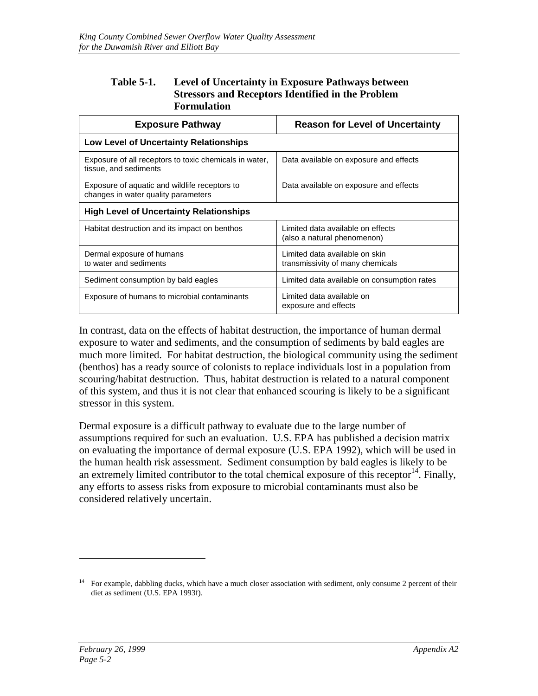#### <span id="page-39-0"></span>**Table 5-1. Level of Uncertainty in Exposure Pathways between Stressors and Receptors Identified in the Problem Formulation**

| <b>Exposure Pathway</b>                                                              | <b>Reason for Level of Uncertainty</b>                             |  |  |
|--------------------------------------------------------------------------------------|--------------------------------------------------------------------|--|--|
| Low Level of Uncertainty Relationships                                               |                                                                    |  |  |
| Exposure of all receptors to toxic chemicals in water,<br>tissue, and sediments      | Data available on exposure and effects                             |  |  |
| Exposure of aquatic and wildlife receptors to<br>changes in water quality parameters | Data available on exposure and effects                             |  |  |
| <b>High Level of Uncertainty Relationships</b>                                       |                                                                    |  |  |
| Habitat destruction and its impact on benthos                                        | Limited data available on effects<br>(also a natural phenomenon)   |  |  |
| Dermal exposure of humans<br>to water and sediments                                  | Limited data available on skin<br>transmissivity of many chemicals |  |  |
| Sediment consumption by bald eagles                                                  | Limited data available on consumption rates                        |  |  |
| Exposure of humans to microbial contaminants                                         | Limited data available on<br>exposure and effects                  |  |  |

In contrast, data on the effects of habitat destruction, the importance of human dermal exposure to water and sediments, and the consumption of sediments by bald eagles are much more limited. For habitat destruction, the biological community using the sediment (benthos) has a ready source of colonists to replace individuals lost in a population from scouring/habitat destruction. Thus, habitat destruction is related to a natural component of this system, and thus it is not clear that enhanced scouring is likely to be a significant stressor in this system.

Dermal exposure is a difficult pathway to evaluate due to the large number of assumptions required for such an evaluation. U.S. EPA has published a decision matrix on evaluating the importance of dermal exposure (U.S. EPA 1992), which will be used in the human health risk assessment. Sediment consumption by bald eagles is likely to be an extremely limited contributor to the total chemical exposure of this receptor<sup>14</sup>. Finally, any efforts to assess risks from exposure to microbial contaminants must also be considered relatively uncertain.

<sup>14</sup> For example, dabbling ducks, which have a much closer association with sediment, only consume 2 percent of their diet as sediment (U.S. EPA 1993f).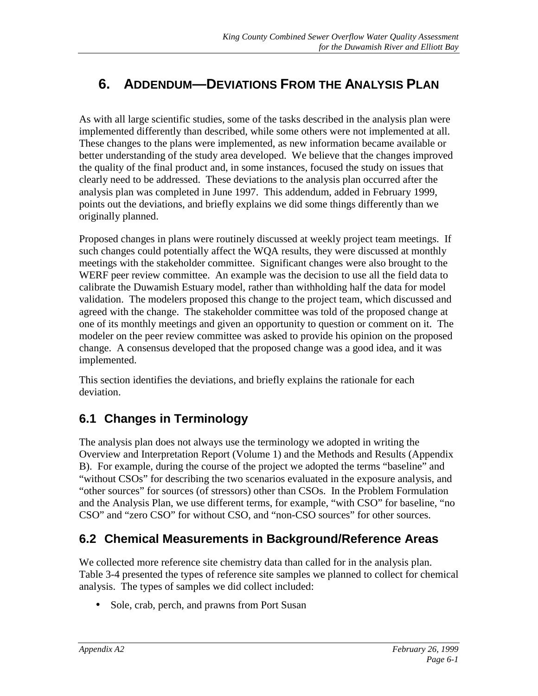# <span id="page-40-0"></span>**6. ADDENDUM—DEVIATIONS FROM THE ANALYSIS PLAN**

As with all large scientific studies, some of the tasks described in the analysis plan were implemented differently than described, while some others were not implemented at all. These changes to the plans were implemented, as new information became available or better understanding of the study area developed. We believe that the changes improved the quality of the final product and, in some instances, focused the study on issues that clearly need to be addressed. These deviations to the analysis plan occurred after the analysis plan was completed in June 1997. This addendum, added in February 1999, points out the deviations, and briefly explains we did some things differently than we originally planned.

Proposed changes in plans were routinely discussed at weekly project team meetings. If such changes could potentially affect the WQA results, they were discussed at monthly meetings with the stakeholder committee. Significant changes were also brought to the WERF peer review committee. An example was the decision to use all the field data to calibrate the Duwamish Estuary model, rather than withholding half the data for model validation. The modelers proposed this change to the project team, which discussed and agreed with the change. The stakeholder committee was told of the proposed change at one of its monthly meetings and given an opportunity to question or comment on it. The modeler on the peer review committee was asked to provide his opinion on the proposed change. A consensus developed that the proposed change was a good idea, and it was implemented.

This section identifies the deviations, and briefly explains the rationale for each deviation.

### **6.1 Changes in Terminology**

The analysis plan does not always use the terminology we adopted in writing the Overview and Interpretation Report (Volume 1) and the Methods and Results (Appendix B). For example, during the course of the project we adopted the terms "baseline" and "without CSOs" for describing the two scenarios evaluated in the exposure analysis, and "other sources" for sources (of stressors) other than CSOs. In the Problem Formulation and the Analysis Plan, we use different terms, for example, "with CSO" for baseline, "no CSO" and "zero CSO" for without CSO, and "non-CSO sources" for other sources.

#### **6.2 Chemical Measurements in Background/Reference Areas**

We collected more reference site chemistry data than called for in the analysis plan. Table 3-4 presented the types of reference site samples we planned to collect for chemical analysis. The types of samples we did collect included:

• Sole, crab, perch, and prawns from Port Susan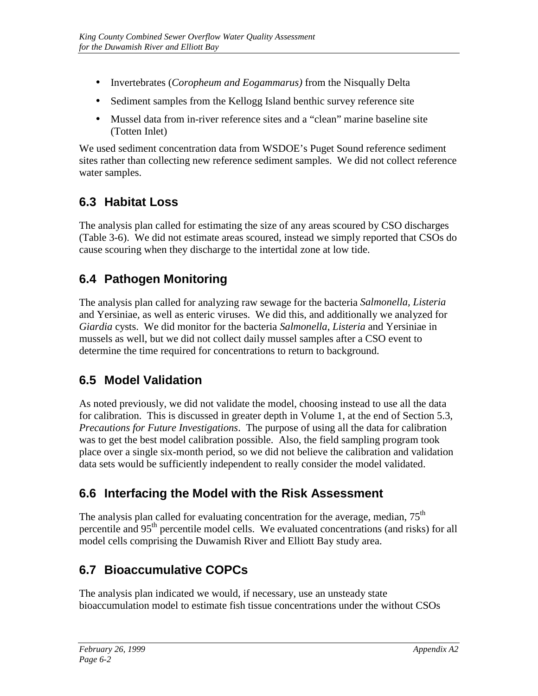- <span id="page-41-0"></span>• Invertebrates (*Coropheum and Eogammarus)* from the Nisqually Delta
- Sediment samples from the Kellogg Island benthic survey reference site
- Mussel data from in-river reference sites and a "clean" marine baseline site (Totten Inlet)

We used sediment concentration data from WSDOE's Puget Sound reference sediment sites rather than collecting new reference sediment samples. We did not collect reference water samples.

### **6.3 Habitat Loss**

The analysis plan called for estimating the size of any areas scoured by CSO discharges (Table 3-6). We did not estimate areas scoured, instead we simply reported that CSOs do cause scouring when they discharge to the intertidal zone at low tide.

### **6.4 Pathogen Monitoring**

The analysis plan called for analyzing raw sewage for the bacteria *Salmonella, Listeria* and Yersiniae, as well as enteric viruses. We did this, and additionally we analyzed for *Giardia* cysts. We did monitor for the bacteria *Salmonella*, *Listeria* and Yersiniae in mussels as well, but we did not collect daily mussel samples after a CSO event to determine the time required for concentrations to return to background.

### **6.5 Model Validation**

As noted previously, we did not validate the model, choosing instead to use all the data for calibration. This is discussed in greater depth in Volume 1, at the end of Section 5.3, *Precautions for Future Investigations*. The purpose of using all the data for calibration was to get the best model calibration possible. Also, the field sampling program took place over a single six-month period, so we did not believe the calibration and validation data sets would be sufficiently independent to really consider the model validated.

#### **6.6 Interfacing the Model with the Risk Assessment**

The analysis plan called for evaluating concentration for the average, median,  $75<sup>th</sup>$ percentile and 95th percentile model cells. We evaluated concentrations (and risks) for all model cells comprising the Duwamish River and Elliott Bay study area.

### **6.7 Bioaccumulative COPCs**

The analysis plan indicated we would, if necessary, use an unsteady state bioaccumulation model to estimate fish tissue concentrations under the without CSOs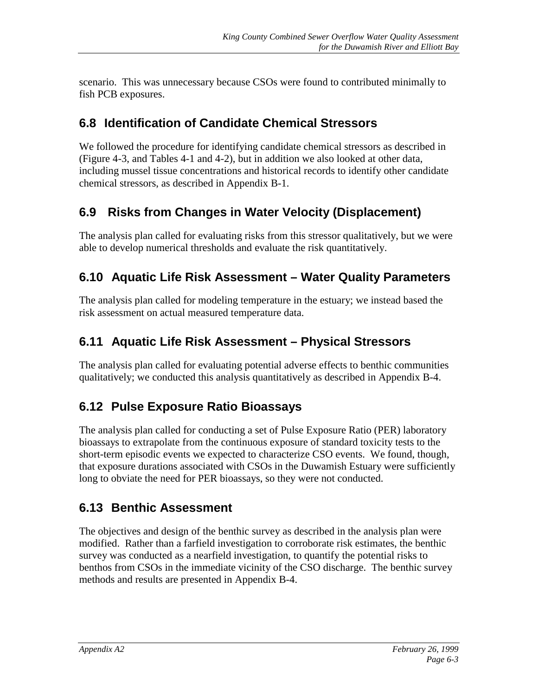<span id="page-42-0"></span>scenario. This was unnecessary because CSOs were found to contributed minimally to fish PCB exposures.

### **6.8 Identification of Candidate Chemical Stressors**

We followed the procedure for identifying candidate chemical stressors as described in (Figure 4-3, and Tables 4-1 and 4-2), but in addition we also looked at other data, including mussel tissue concentrations and historical records to identify other candidate chemical stressors, as described in Appendix B-1.

### **6.9 Risks from Changes in Water Velocity (Displacement)**

The analysis plan called for evaluating risks from this stressor qualitatively, but we were able to develop numerical thresholds and evaluate the risk quantitatively.

### **6.10 Aquatic Life Risk Assessment – Water Quality Parameters**

The analysis plan called for modeling temperature in the estuary; we instead based the risk assessment on actual measured temperature data.

### **6.11 Aquatic Life Risk Assessment – Physical Stressors**

The analysis plan called for evaluating potential adverse effects to benthic communities qualitatively; we conducted this analysis quantitatively as described in Appendix B-4.

### **6.12 Pulse Exposure Ratio Bioassays**

The analysis plan called for conducting a set of Pulse Exposure Ratio (PER) laboratory bioassays to extrapolate from the continuous exposure of standard toxicity tests to the short-term episodic events we expected to characterize CSO events. We found, though, that exposure durations associated with CSOs in the Duwamish Estuary were sufficiently long to obviate the need for PER bioassays, so they were not conducted.

### **6.13 Benthic Assessment**

The objectives and design of the benthic survey as described in the analysis plan were modified. Rather than a farfield investigation to corroborate risk estimates, the benthic survey was conducted as a nearfield investigation, to quantify the potential risks to benthos from CSOs in the immediate vicinity of the CSO discharge. The benthic survey methods and results are presented in Appendix B-4.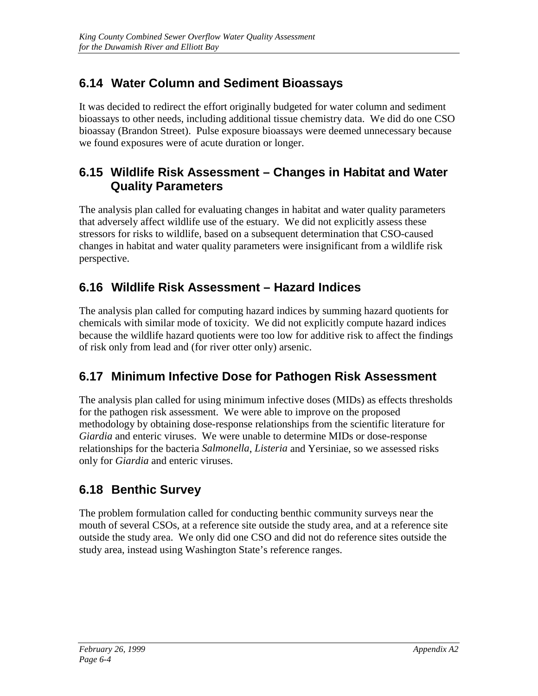# <span id="page-43-0"></span>**6.14 Water Column and Sediment Bioassays**

It was decided to redirect the effort originally budgeted for water column and sediment bioassays to other needs, including additional tissue chemistry data. We did do one CSO bioassay (Brandon Street). Pulse exposure bioassays were deemed unnecessary because we found exposures were of acute duration or longer.

#### **6.15 Wildlife Risk Assessment – Changes in Habitat and Water Quality Parameters**

The analysis plan called for evaluating changes in habitat and water quality parameters that adversely affect wildlife use of the estuary. We did not explicitly assess these stressors for risks to wildlife, based on a subsequent determination that CSO-caused changes in habitat and water quality parameters were insignificant from a wildlife risk perspective.

### **6.16 Wildlife Risk Assessment – Hazard Indices**

The analysis plan called for computing hazard indices by summing hazard quotients for chemicals with similar mode of toxicity. We did not explicitly compute hazard indices because the wildlife hazard quotients were too low for additive risk to affect the findings of risk only from lead and (for river otter only) arsenic.

### **6.17 Minimum Infective Dose for Pathogen Risk Assessment**

The analysis plan called for using minimum infective doses (MIDs) as effects thresholds for the pathogen risk assessment. We were able to improve on the proposed methodology by obtaining dose-response relationships from the scientific literature for *Giardia* and enteric viruses. We were unable to determine MIDs or dose-response relationships for the bacteria *Salmonella*, *Listeria* and Yersiniae, so we assessed risks only for *Giardia* and enteric viruses.

# **6.18 Benthic Survey**

The problem formulation called for conducting benthic community surveys near the mouth of several CSOs, at a reference site outside the study area, and at a reference site outside the study area. We only did one CSO and did not do reference sites outside the study area, instead using Washington State's reference ranges.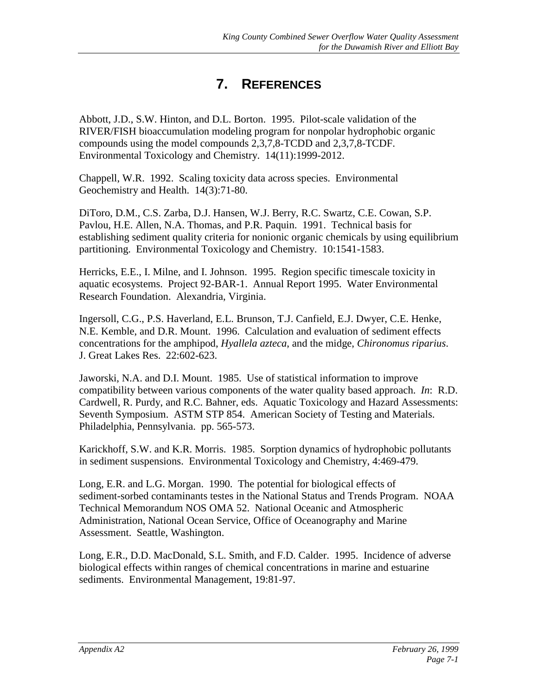# **7. REFERENCES**

<span id="page-44-0"></span>Abbott, J.D., S.W. Hinton, and D.L. Borton. 1995. Pilot-scale validation of the RIVER/FISH bioaccumulation modeling program for nonpolar hydrophobic organic compounds using the model compounds 2,3,7,8-TCDD and 2,3,7,8-TCDF. Environmental Toxicology and Chemistry. 14(11):1999-2012.

Chappell, W.R. 1992. Scaling toxicity data across species. Environmental Geochemistry and Health. 14(3):71-80.

DiToro, D.M., C.S. Zarba, D.J. Hansen, W.J. Berry, R.C. Swartz, C.E. Cowan, S.P. Pavlou, H.E. Allen, N.A. Thomas, and P.R. Paquin. 1991. Technical basis for establishing sediment quality criteria for nonionic organic chemicals by using equilibrium partitioning. Environmental Toxicology and Chemistry. 10:1541-1583.

Herricks, E.E., I. Milne, and I. Johnson. 1995. Region specific timescale toxicity in aquatic ecosystems. Project 92-BAR-1. Annual Report 1995. Water Environmental Research Foundation. Alexandria, Virginia.

Ingersoll, C.G., P.S. Haverland, E.L. Brunson, T.J. Canfield, E.J. Dwyer, C.E. Henke, N.E. Kemble, and D.R. Mount. 1996. Calculation and evaluation of sediment effects concentrations for the amphipod, *Hyallela azteca*, and the midge, *Chironomus riparius*. J. Great Lakes Res. 22:602-623.

Jaworski, N.A. and D.I. Mount. 1985. Use of statistical information to improve compatibility between various components of the water quality based approach. *In*: R.D. Cardwell, R. Purdy, and R.C. Bahner, eds. Aquatic Toxicology and Hazard Assessments: Seventh Symposium. ASTM STP 854. American Society of Testing and Materials. Philadelphia, Pennsylvania. pp. 565-573.

Karickhoff, S.W. and K.R. Morris. 1985. Sorption dynamics of hydrophobic pollutants in sediment suspensions. Environmental Toxicology and Chemistry, 4:469-479.

Long, E.R. and L.G. Morgan. 1990. The potential for biological effects of sediment-sorbed contaminants testes in the National Status and Trends Program. NOAA Technical Memorandum NOS OMA 52. National Oceanic and Atmospheric Administration, National Ocean Service, Office of Oceanography and Marine Assessment. Seattle, Washington.

Long, E.R., D.D. MacDonald, S.L. Smith, and F.D. Calder. 1995. Incidence of adverse biological effects within ranges of chemical concentrations in marine and estuarine sediments. Environmental Management, 19:81-97.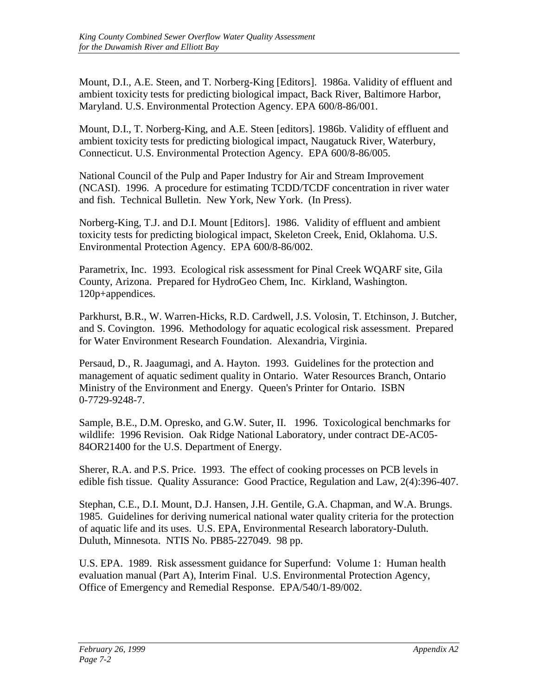Mount, D.I., A.E. Steen, and T. Norberg-King [Editors]. 1986a. Validity of effluent and ambient toxicity tests for predicting biological impact, Back River, Baltimore Harbor, Maryland. U.S. Environmental Protection Agency. EPA 600/8-86/001.

Mount, D.I., T. Norberg-King, and A.E. Steen [editors]. 1986b. Validity of effluent and ambient toxicity tests for predicting biological impact, Naugatuck River, Waterbury, Connecticut. U.S. Environmental Protection Agency. EPA 600/8-86/005.

National Council of the Pulp and Paper Industry for Air and Stream Improvement (NCASI). 1996. A procedure for estimating TCDD/TCDF concentration in river water and fish. Technical Bulletin. New York, New York. (In Press).

Norberg-King, T.J. and D.I. Mount [Editors]. 1986. Validity of effluent and ambient toxicity tests for predicting biological impact, Skeleton Creek, Enid, Oklahoma. U.S. Environmental Protection Agency. EPA 600/8-86/002.

Parametrix, Inc. 1993. Ecological risk assessment for Pinal Creek WQARF site, Gila County, Arizona. Prepared for HydroGeo Chem, Inc. Kirkland, Washington. 120p+appendices.

Parkhurst, B.R., W. Warren-Hicks, R.D. Cardwell, J.S. Volosin, T. Etchinson, J. Butcher, and S. Covington. 1996. Methodology for aquatic ecological risk assessment. Prepared for Water Environment Research Foundation. Alexandria, Virginia.

Persaud, D., R. Jaagumagi, and A. Hayton. 1993. Guidelines for the protection and management of aquatic sediment quality in Ontario. Water Resources Branch, Ontario Ministry of the Environment and Energy. Queen's Printer for Ontario. ISBN 0-7729-9248-7.

Sample, B.E., D.M. Opresko, and G.W. Suter, II. 1996. Toxicological benchmarks for wildlife: 1996 Revision. Oak Ridge National Laboratory, under contract DE-AC05- 84OR21400 for the U.S. Department of Energy.

Sherer, R.A. and P.S. Price. 1993. The effect of cooking processes on PCB levels in edible fish tissue. Quality Assurance: Good Practice, Regulation and Law, 2(4):396-407.

Stephan, C.E., D.I. Mount, D.J. Hansen, J.H. Gentile, G.A. Chapman, and W.A. Brungs. 1985. Guidelines for deriving numerical national water quality criteria for the protection of aquatic life and its uses. U.S. EPA, Environmental Research laboratory-Duluth. Duluth, Minnesota. NTIS No. PB85-227049. 98 pp.

U.S. EPA. 1989. Risk assessment guidance for Superfund: Volume 1: Human health evaluation manual (Part A), Interim Final. U.S. Environmental Protection Agency, Office of Emergency and Remedial Response. EPA/540/1-89/002.